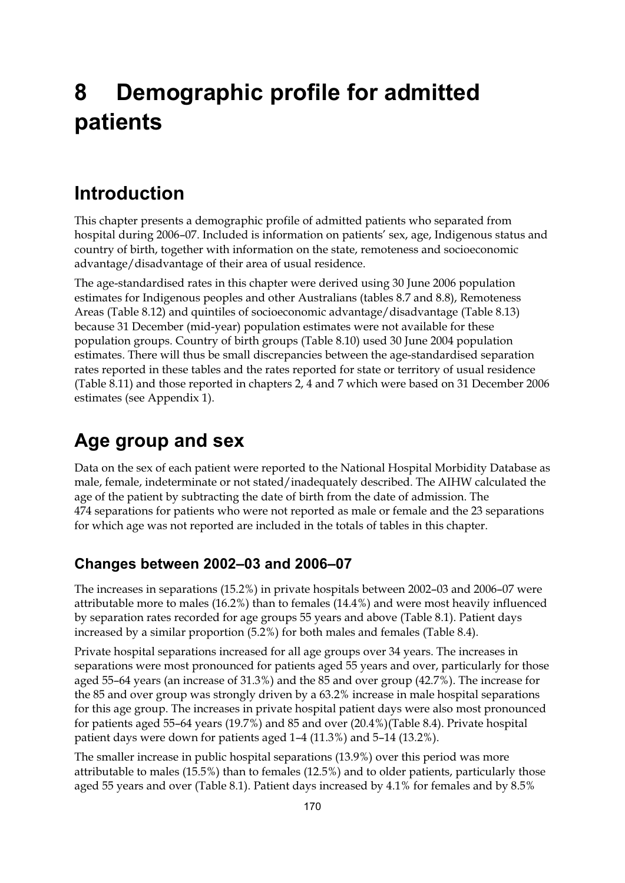# **8 Demographic profile for admitted patients**

### **Introduction**

This chapter presents a demographic profile of admitted patients who separated from hospital during 2006–07. Included is information on patients' sex, age, Indigenous status and country of birth, together with information on the state, remoteness and socioeconomic advantage/disadvantage of their area of usual residence.

The age-standardised rates in this chapter were derived using 30 June 2006 population estimates for Indigenous peoples and other Australians (tables 8.7 and 8.8), Remoteness Areas (Table 8.12) and quintiles of socioeconomic advantage/disadvantage (Table 8.13) because 31 December (mid-year) population estimates were not available for these population groups. Country of birth groups (Table 8.10) used 30 June 2004 population estimates. There will thus be small discrepancies between the age-standardised separation rates reported in these tables and the rates reported for state or territory of usual residence (Table 8.11) and those reported in chapters 2, 4 and 7 which were based on 31 December 2006 estimates (see Appendix 1).

# **Age group and sex**

Data on the sex of each patient were reported to the National Hospital Morbidity Database as male, female, indeterminate or not stated/inadequately described. The AIHW calculated the age of the patient by subtracting the date of birth from the date of admission. The 474 separations for patients who were not reported as male or female and the 23 separations for which age was not reported are included in the totals of tables in this chapter.

#### **Changes between 2002–03 and 2006–07**

The increases in separations (15.2%) in private hospitals between 2002–03 and 2006–07 were attributable more to males (16.2%) than to females (14.4%) and were most heavily influenced by separation rates recorded for age groups 55 years and above (Table 8.1). Patient days increased by a similar proportion (5.2%) for both males and females (Table 8.4).

Private hospital separations increased for all age groups over 34 years. The increases in separations were most pronounced for patients aged 55 years and over, particularly for those aged 55–64 years (an increase of 31.3%) and the 85 and over group (42.7%). The increase for the 85 and over group was strongly driven by a 63.2% increase in male hospital separations for this age group. The increases in private hospital patient days were also most pronounced for patients aged 55–64 years (19.7%) and 85 and over (20.4%)(Table 8.4). Private hospital patient days were down for patients aged 1–4 (11.3%) and 5–14 (13.2%).

The smaller increase in public hospital separations (13.9%) over this period was more attributable to males (15.5%) than to females (12.5%) and to older patients, particularly those aged 55 years and over (Table 8.1). Patient days increased by 4.1% for females and by 8.5%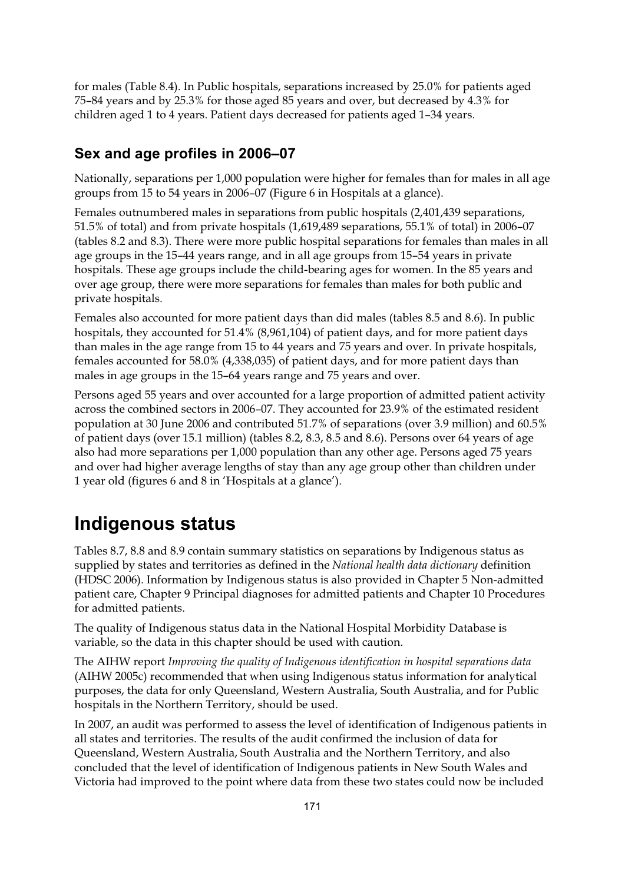for males (Table 8.4). In Public hospitals, separations increased by 25.0% for patients aged 75–84 years and by 25.3% for those aged 85 years and over, but decreased by 4.3% for children aged 1 to 4 years. Patient days decreased for patients aged 1–34 years.

#### **Sex and age profiles in 2006–07**

Nationally, separations per 1,000 population were higher for females than for males in all age groups from 15 to 54 years in 2006–07 (Figure 6 in Hospitals at a glance).

Females outnumbered males in separations from public hospitals (2,401,439 separations, 51.5% of total) and from private hospitals (1,619,489 separations, 55.1% of total) in 2006–07 (tables 8.2 and 8.3). There were more public hospital separations for females than males in all age groups in the 15–44 years range, and in all age groups from 15–54 years in private hospitals. These age groups include the child-bearing ages for women. In the 85 years and over age group, there were more separations for females than males for both public and private hospitals.

Females also accounted for more patient days than did males (tables 8.5 and 8.6). In public hospitals, they accounted for 51.4% (8,961,104) of patient days, and for more patient days than males in the age range from 15 to 44 years and 75 years and over. In private hospitals, females accounted for 58.0% (4,338,035) of patient days, and for more patient days than males in age groups in the 15–64 years range and 75 years and over.

Persons aged 55 years and over accounted for a large proportion of admitted patient activity across the combined sectors in 2006–07. They accounted for 23.9% of the estimated resident population at 30 June 2006 and contributed 51.7% of separations (over 3.9 million) and 60.5% of patient days (over 15.1 million) (tables 8.2, 8.3, 8.5 and 8.6). Persons over 64 years of age also had more separations per 1,000 population than any other age. Persons aged 75 years and over had higher average lengths of stay than any age group other than children under 1 year old (figures 6 and 8 in 'Hospitals at a glance').

# **Indigenous status**

Tables 8.7, 8.8 and 8.9 contain summary statistics on separations by Indigenous status as supplied by states and territories as defined in the *National health data dictionary* definition (HDSC 2006). Information by Indigenous status is also provided in Chapter 5 Non-admitted patient care, Chapter 9 Principal diagnoses for admitted patients and Chapter 10 Procedures for admitted patients.

The quality of Indigenous status data in the National Hospital Morbidity Database is variable, so the data in this chapter should be used with caution.

The AIHW report *Improving the quality of Indigenous identification in hospital separations data* (AIHW 2005c) recommended that when using Indigenous status information for analytical purposes, the data for only Queensland, Western Australia, South Australia, and for Public hospitals in the Northern Territory, should be used.

In 2007, an audit was performed to assess the level of identification of Indigenous patients in all states and territories. The results of the audit confirmed the inclusion of data for Queensland, Western Australia, South Australia and the Northern Territory, and also concluded that the level of identification of Indigenous patients in New South Wales and Victoria had improved to the point where data from these two states could now be included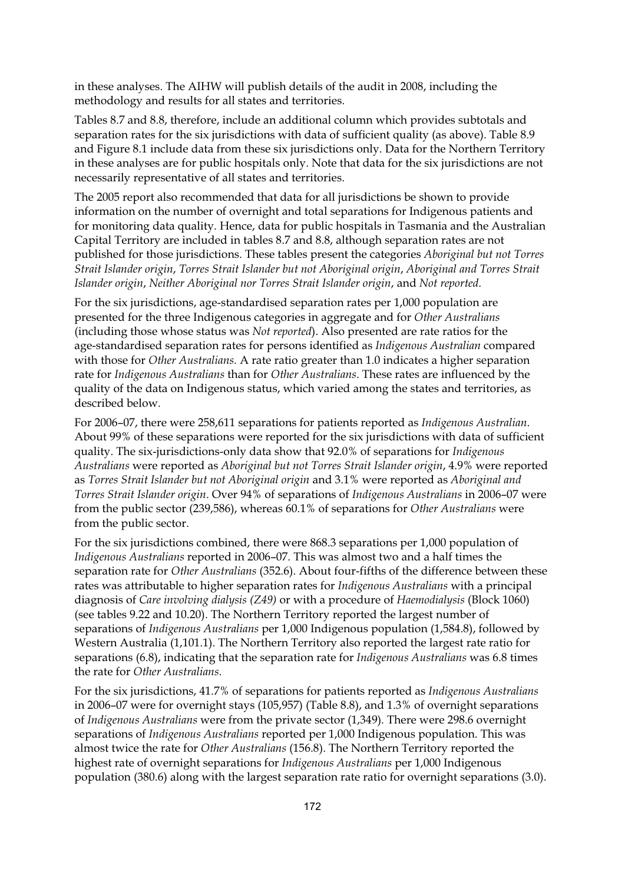in these analyses. The AIHW will publish details of the audit in 2008, including the methodology and results for all states and territories.

Tables 8.7 and 8.8, therefore, include an additional column which provides subtotals and separation rates for the six jurisdictions with data of sufficient quality (as above). Table 8.9 and Figure 8.1 include data from these six jurisdictions only. Data for the Northern Territory in these analyses are for public hospitals only. Note that data for the six jurisdictions are not necessarily representative of all states and territories.

The 2005 report also recommended that data for all jurisdictions be shown to provide information on the number of overnight and total separations for Indigenous patients and for monitoring data quality. Hence, data for public hospitals in Tasmania and the Australian Capital Territory are included in tables 8.7 and 8.8, although separation rates are not published for those jurisdictions. These tables present the categories *Aboriginal but not Torres Strait Islander origin*, *Torres Strait Islander but not Aboriginal origin*, *Aboriginal and Torres Strait Islander origin*, *Neither Aboriginal nor Torres Strait Islander origin*, and *Not reported*.

For the six jurisdictions, age-standardised separation rates per 1,000 population are presented for the three Indigenous categories in aggregate and for *Other Australians* (including those whose status was *Not reported*). Also presented are rate ratios for the age-standardised separation rates for persons identified as *Indigenous Australian* compared with those for *Other Australians*. A rate ratio greater than 1.0 indicates a higher separation rate for *Indigenous Australians* than for *Other Australians*. These rates are influenced by the quality of the data on Indigenous status, which varied among the states and territories, as described below.

For 2006–07, there were 258,611 separations for patients reported as *Indigenous Australian*. About 99% of these separations were reported for the six jurisdictions with data of sufficient quality. The six-jurisdictions-only data show that 92.0% of separations for *Indigenous Australians* were reported as *Aboriginal but not Torres Strait Islander origin*, 4.9% were reported as *Torres Strait Islander but not Aboriginal origin* and 3.1% were reported as *Aboriginal and Torres Strait Islander origin*. Over 94% of separations of *Indigenous Australians* in 2006–07 were from the public sector (239,586), whereas 60.1% of separations for *Other Australians* were from the public sector.

For the six jurisdictions combined, there were 868.3 separations per 1,000 population of *Indigenous Australians* reported in 2006–07. This was almost two and a half times the separation rate for *Other Australians* (352.6). About four-fifths of the difference between these rates was attributable to higher separation rates for *Indigenous Australians* with a principal diagnosis of *Care involving dialysis (Z49)* or with a procedure of *Haemodialysis* (Block 1060) (see tables 9.22 and 10.20). The Northern Territory reported the largest number of separations of *Indigenous Australians* per 1,000 Indigenous population (1,584.8), followed by Western Australia (1,101.1). The Northern Territory also reported the largest rate ratio for separations (6.8), indicating that the separation rate for *Indigenous Australians* was 6.8 times the rate for *Other Australians*.

For the six jurisdictions, 41.7% of separations for patients reported as *Indigenous Australians* in 2006–07 were for overnight stays (105,957) (Table 8.8), and 1.3% of overnight separations of *Indigenous Australians* were from the private sector (1,349). There were 298.6 overnight separations of *Indigenous Australians* reported per 1,000 Indigenous population. This was almost twice the rate for *Other Australians* (156.8). The Northern Territory reported the highest rate of overnight separations for *Indigenous Australians* per 1,000 Indigenous population (380.6) along with the largest separation rate ratio for overnight separations (3.0).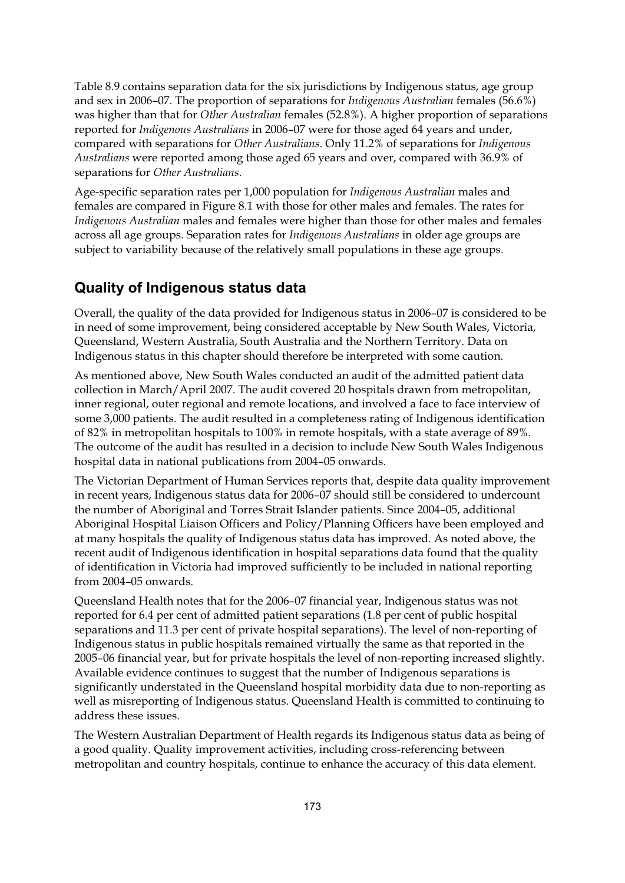Table 8.9 contains separation data for the six jurisdictions by Indigenous status, age group and sex in 2006–07. The proportion of separations for *Indigenous Australian* females (56.6%) was higher than that for *Other Australian* females (52.8%). A higher proportion of separations reported for *Indigenous Australians* in 2006–07 were for those aged 64 years and under, compared with separations for *Other Australians*. Only 11.2% of separations for *Indigenous Australians* were reported among those aged 65 years and over, compared with 36.9% of separations for *Other Australians*.

Age-specific separation rates per 1,000 population for *Indigenous Australian* males and females are compared in Figure 8.1 with those for other males and females. The rates for *Indigenous Australian* males and females were higher than those for other males and females across all age groups. Separation rates for *Indigenous Australians* in older age groups are subject to variability because of the relatively small populations in these age groups.

#### **Quality of Indigenous status data**

Overall, the quality of the data provided for Indigenous status in 2006–07 is considered to be in need of some improvement, being considered acceptable by New South Wales, Victoria, Queensland, Western Australia, South Australia and the Northern Territory. Data on Indigenous status in this chapter should therefore be interpreted with some caution.

As mentioned above, New South Wales conducted an audit of the admitted patient data collection in March/April 2007. The audit covered 20 hospitals drawn from metropolitan, inner regional, outer regional and remote locations, and involved a face to face interview of some 3,000 patients. The audit resulted in a completeness rating of Indigenous identification of 82% in metropolitan hospitals to 100% in remote hospitals, with a state average of 89%. The outcome of the audit has resulted in a decision to include New South Wales Indigenous hospital data in national publications from 2004–05 onwards.

The Victorian Department of Human Services reports that, despite data quality improvement in recent years, Indigenous status data for 2006–07 should still be considered to undercount the number of Aboriginal and Torres Strait Islander patients. Since 2004–05, additional Aboriginal Hospital Liaison Officers and Policy/Planning Officers have been employed and at many hospitals the quality of Indigenous status data has improved. As noted above, the recent audit of Indigenous identification in hospital separations data found that the quality of identification in Victoria had improved sufficiently to be included in national reporting from 2004–05 onwards.

Queensland Health notes that for the 2006–07 financial year, Indigenous status was not reported for 6.4 per cent of admitted patient separations (1.8 per cent of public hospital separations and 11.3 per cent of private hospital separations). The level of non-reporting of Indigenous status in public hospitals remained virtually the same as that reported in the 2005–06 financial year, but for private hospitals the level of non-reporting increased slightly. Available evidence continues to suggest that the number of Indigenous separations is significantly understated in the Queensland hospital morbidity data due to non-reporting as well as misreporting of Indigenous status. Queensland Health is committed to continuing to address these issues.

The Western Australian Department of Health regards its Indigenous status data as being of a good quality. Quality improvement activities, including cross-referencing between metropolitan and country hospitals, continue to enhance the accuracy of this data element.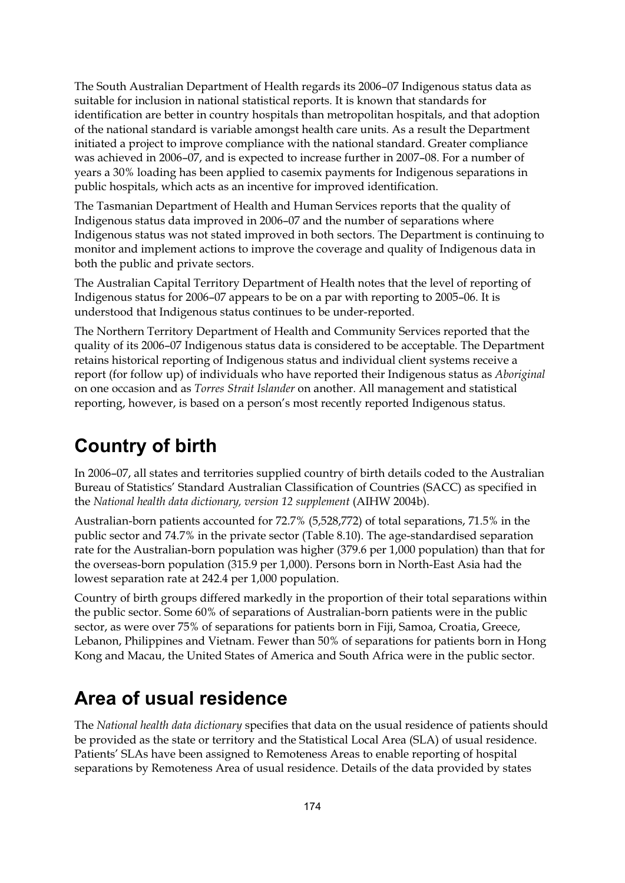The South Australian Department of Health regards its 2006–07 Indigenous status data as suitable for inclusion in national statistical reports. It is known that standards for identification are better in country hospitals than metropolitan hospitals, and that adoption of the national standard is variable amongst health care units. As a result the Department initiated a project to improve compliance with the national standard. Greater compliance was achieved in 2006–07, and is expected to increase further in 2007–08. For a number of years a 30% loading has been applied to casemix payments for Indigenous separations in public hospitals, which acts as an incentive for improved identification.

The Tasmanian Department of Health and Human Services reports that the quality of Indigenous status data improved in 2006–07 and the number of separations where Indigenous status was not stated improved in both sectors. The Department is continuing to monitor and implement actions to improve the coverage and quality of Indigenous data in both the public and private sectors.

The Australian Capital Territory Department of Health notes that the level of reporting of Indigenous status for 2006–07 appears to be on a par with reporting to 2005–06. It is understood that Indigenous status continues to be under-reported.

The Northern Territory Department of Health and Community Services reported that the quality of its 2006–07 Indigenous status data is considered to be acceptable. The Department retains historical reporting of Indigenous status and individual client systems receive a report (for follow up) of individuals who have reported their Indigenous status as *Aboriginal* on one occasion and as *Torres Strait Islander* on another. All management and statistical reporting, however, is based on a person's most recently reported Indigenous status.

# **Country of birth**

In 2006–07, all states and territories supplied country of birth details coded to the Australian Bureau of Statistics' Standard Australian Classification of Countries (SACC) as specified in the *National health data dictionary, version 12 supplement* (AIHW 2004b).

Australian-born patients accounted for 72.7% (5,528,772) of total separations, 71.5% in the public sector and 74.7% in the private sector (Table 8.10). The age-standardised separation rate for the Australian-born population was higher (379.6 per 1,000 population) than that for the overseas-born population (315.9 per 1,000). Persons born in North-East Asia had the lowest separation rate at 242.4 per 1,000 population.

Country of birth groups differed markedly in the proportion of their total separations within the public sector. Some 60% of separations of Australian-born patients were in the public sector, as were over 75% of separations for patients born in Fiji, Samoa, Croatia, Greece, Lebanon, Philippines and Vietnam. Fewer than 50% of separations for patients born in Hong Kong and Macau, the United States of America and South Africa were in the public sector.

# **Area of usual residence**

The *National health data dictionary* specifies that data on the usual residence of patients should be provided as the state or territory and the Statistical Local Area (SLA) of usual residence. Patients' SLAs have been assigned to Remoteness Areas to enable reporting of hospital separations by Remoteness Area of usual residence. Details of the data provided by states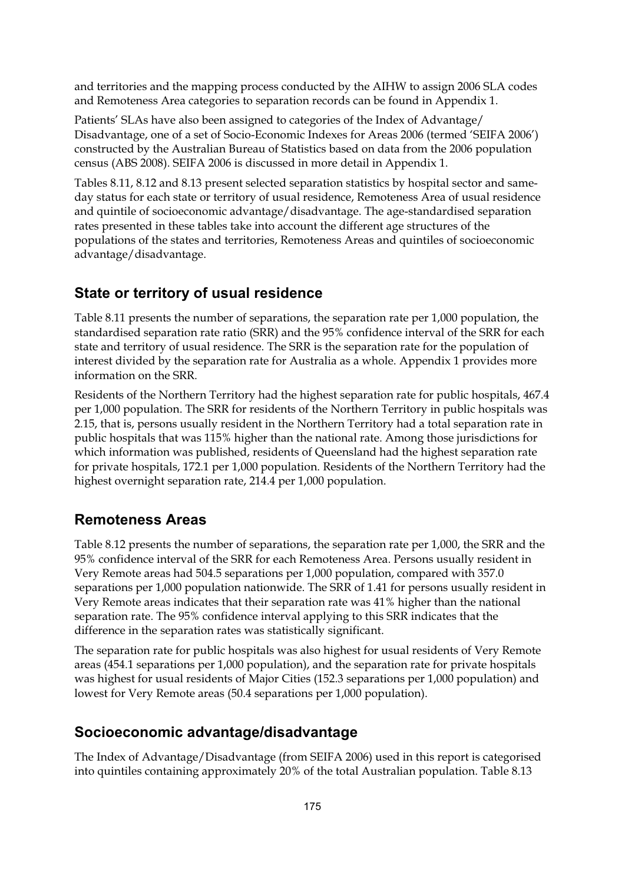and territories and the mapping process conducted by the AIHW to assign 2006 SLA codes and Remoteness Area categories to separation records can be found in Appendix 1.

Patients' SLAs have also been assigned to categories of the Index of Advantage/ Disadvantage, one of a set of Socio-Economic Indexes for Areas 2006 (termed 'SEIFA 2006') constructed by the Australian Bureau of Statistics based on data from the 2006 population census (ABS 2008). SEIFA 2006 is discussed in more detail in Appendix 1.

Tables 8.11, 8.12 and 8.13 present selected separation statistics by hospital sector and sameday status for each state or territory of usual residence, Remoteness Area of usual residence and quintile of socioeconomic advantage/disadvantage. The age-standardised separation rates presented in these tables take into account the different age structures of the populations of the states and territories, Remoteness Areas and quintiles of socioeconomic advantage/disadvantage.

#### **State or territory of usual residence**

Table 8.11 presents the number of separations, the separation rate per 1,000 population, the standardised separation rate ratio (SRR) and the 95% confidence interval of the SRR for each state and territory of usual residence. The SRR is the separation rate for the population of interest divided by the separation rate for Australia as a whole. Appendix 1 provides more information on the SRR.

Residents of the Northern Territory had the highest separation rate for public hospitals, 467.4 per 1,000 population. The SRR for residents of the Northern Territory in public hospitals was 2.15, that is, persons usually resident in the Northern Territory had a total separation rate in public hospitals that was 115% higher than the national rate. Among those jurisdictions for which information was published, residents of Queensland had the highest separation rate for private hospitals, 172.1 per 1,000 population. Residents of the Northern Territory had the highest overnight separation rate, 214.4 per 1,000 population.

#### **Remoteness Areas**

Table 8.12 presents the number of separations, the separation rate per 1,000, the SRR and the 95% confidence interval of the SRR for each Remoteness Area. Persons usually resident in Very Remote areas had 504.5 separations per 1,000 population, compared with 357.0 separations per 1,000 population nationwide. The SRR of 1.41 for persons usually resident in Very Remote areas indicates that their separation rate was 41% higher than the national separation rate. The 95% confidence interval applying to this SRR indicates that the difference in the separation rates was statistically significant.

The separation rate for public hospitals was also highest for usual residents of Very Remote areas (454.1 separations per 1,000 population), and the separation rate for private hospitals was highest for usual residents of Major Cities (152.3 separations per 1,000 population) and lowest for Very Remote areas (50.4 separations per 1,000 population).

#### **Socioeconomic advantage/disadvantage**

The Index of Advantage/Disadvantage (from SEIFA 2006) used in this report is categorised into quintiles containing approximately 20% of the total Australian population. Table 8.13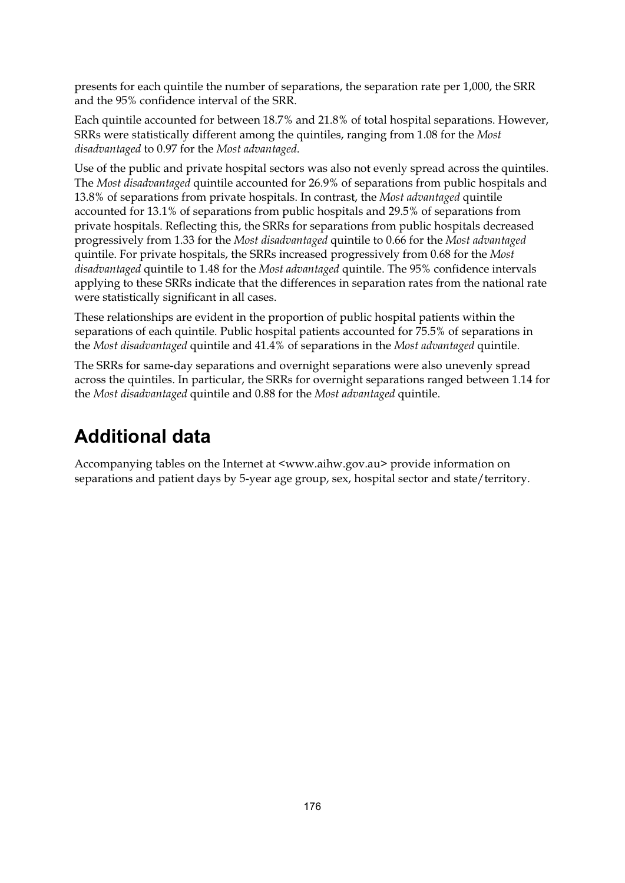presents for each quintile the number of separations, the separation rate per 1,000, the SRR and the 95% confidence interval of the SRR.

Each quintile accounted for between 18.7% and 21.8% of total hospital separations. However, SRRs were statistically different among the quintiles, ranging from 1.08 for the *Most disadvantaged* to 0.97 for the *Most advantaged*.

Use of the public and private hospital sectors was also not evenly spread across the quintiles. The *Most disadvantaged* quintile accounted for 26.9% of separations from public hospitals and 13.8% of separations from private hospitals. In contrast, the *Most advantaged* quintile accounted for 13.1% of separations from public hospitals and 29.5% of separations from private hospitals. Reflecting this, the SRRs for separations from public hospitals decreased progressively from 1.33 for the *Most disadvantaged* quintile to 0.66 for the *Most advantaged* quintile. For private hospitals, the SRRs increased progressively from 0.68 for the *Most disadvantaged* quintile to 1.48 for the *Most advantaged* quintile. The 95% confidence intervals applying to these SRRs indicate that the differences in separation rates from the national rate were statistically significant in all cases.

These relationships are evident in the proportion of public hospital patients within the separations of each quintile. Public hospital patients accounted for 75.5% of separations in the *Most disadvantaged* quintile and 41.4% of separations in the *Most advantaged* quintile.

The SRRs for same-day separations and overnight separations were also unevenly spread across the quintiles. In particular, the SRRs for overnight separations ranged between 1.14 for the *Most disadvantaged* quintile and 0.88 for the *Most advantaged* quintile.

### **Additional data**

Accompanying tables on the Internet at <www.aihw.gov.au> provide information on separations and patient days by 5-year age group, sex, hospital sector and state/territory.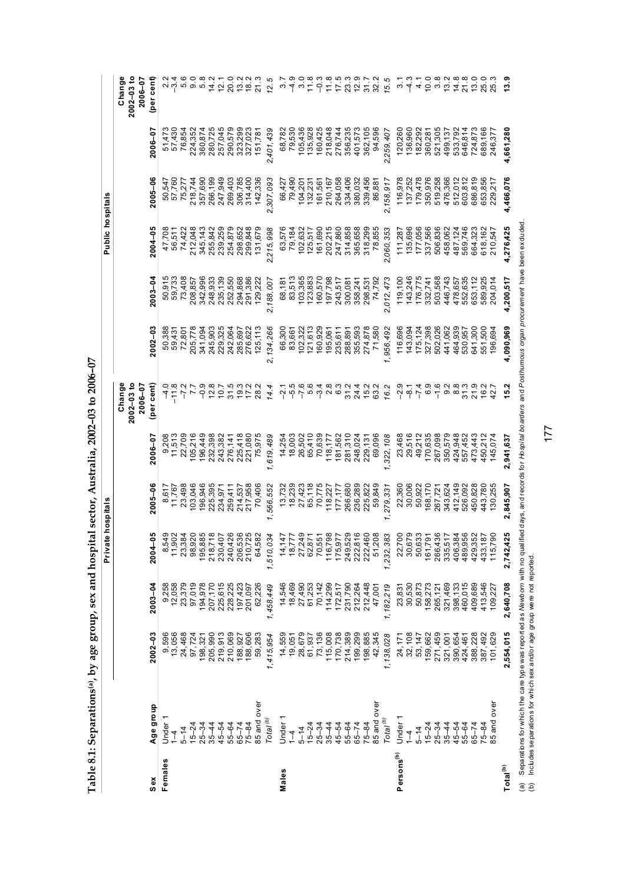|                                 | rdeoir mus of dinner de group and the state |                    |                    |                                                           | ran sector, mentana, 4004. |                    | ž<br>2<br>2                         |                    |                    |                    |                    |                    |                                     |
|---------------------------------|---------------------------------------------|--------------------|--------------------|-----------------------------------------------------------|----------------------------|--------------------|-------------------------------------|--------------------|--------------------|--------------------|--------------------|--------------------|-------------------------------------|
|                                 |                                             |                    |                    | Private hospitals                                         |                            |                    |                                     |                    |                    | Public hospital    |                    |                    |                                     |
|                                 |                                             |                    |                    |                                                           |                            |                    | $2002 - 03$ to<br>Change<br>2006-07 |                    |                    |                    |                    |                    | $2002 - 03$ to<br>Change<br>2006-07 |
| $s_{ex}$                        | Age group                                   | $2002 - 03$        | $2003 - 04$        | ဒို<br>2004                                               | $2005 - 06$                | 2006-07            | (per cent)                          | $2002 - 03$        | $2003 - 04$        | $2004 - 05$        | 2005-06            | 2006-07            | (per cent)                          |
| Females                         | Under                                       | 9,596<br>13,056    | 9,258              | 8,549<br>11,902<br>23,384                                 | 8,617                      | 9,208              |                                     | 50,388             | 50,915             | 47,708             | 50,547             | 51,473             | $2.4$<br>$-2.5$                     |
|                                 | $\overline{1}$                              |                    | 12,058             |                                                           | 11,767                     | 11,513             | $-11.8$                             | 59,431             | 59,733             | 56,511             | 57,760             | 57,430             |                                     |
|                                 | $5 - 14$                                    | 24,468             | 23,379             |                                                           | 23,498                     | 22,709             |                                     | 72,801             | 73,408             | 74,422             | 75,277             | 76,854             | ݡ                                   |
|                                 | $15 - 24$                                   | 97,724             | 97,019             |                                                           | 103,046                    | 105,216            |                                     | 205,778            | 208,857            | 212,048            | 218,744            | 224,352            | q                                   |
|                                 | $25 - 34$                                   | 198,321            | 194,978            | 98,920<br>195,885<br>218,718                              | 196,946                    | 196,449            | $-0.9$                              | 341,094            | 342,996            | 345,143            | 357,690            | 360,874            | 5.8                                 |
|                                 | $35 - 44$                                   | 205,990            | 207,170            |                                                           | 225,395                    | 232,398            | 12.8                                | 245,903            | 248,933            | 255,842            | 266,199            | 280,725            | 14.2                                |
|                                 | 45-54                                       | 219,913            | 225,615            |                                                           | 234,971                    | 243,382            | 701                                 | 229,325            | 235,139            | 239,259            | 247,949            | 257,045            | 12.1                                |
|                                 | $55 - 64$                                   | 210,069            | 228,225            |                                                           | 259,41                     | 276,141            | 31.5                                | 242,064            | 252,550            | 254,879            | 269,403            | 290,579            | 20.0                                |
|                                 | $65 - 74$                                   | 188,927            | 197,423            | 230,407<br>240,426<br>206,536<br>210,725<br>64,582        | 214,537<br>217,958         | 225,418            | 19.3                                | 285,697            | 294,868<br>291,386 | 298,652<br>299,848 | 306,785            | 323,299<br>327,023 | 13.2                                |
|                                 | $75 - 84$                                   | 188,606            | 201,097            |                                                           |                            | 221,080            | 17.2                                | 276,622            |                    |                    | 314,400            |                    | $\frac{8}{1}$                       |
|                                 | 85 and over                                 | 59,283             | 62,226             |                                                           | 70,406                     | 75,975             | 28.2                                | 125,113            | 129,22             | 131,679            | 142,336            | 151,781            | $\frac{3}{2}$                       |
|                                 | Total <sup>(b)</sup>                        | 1,415,954          | 1,458,449          | 1,510,034                                                 | 1,566,552                  | 619,489            | 14.4                                | 2,134,266          | 2,188,007          | 2,215,998          | 2,307,093          | 2,401,439          | 12.5                                |
| Males                           | ↽<br>Under                                  | 14,559             | 14,546             |                                                           | 13,732                     | 14,254             | $\ddot{q}$                          | 66,300             | 68,187             | 63,576             | 66,427             | 68,782             | $\dot{\circ}$                       |
|                                 | $\overline{1}$                              | 19,051             |                    | 14,147<br>18,777                                          | 18,239                     | 18,003             |                                     | 83,661             | 83,513             | 79,184             | 79,490             | 79,530             | 4                                   |
|                                 | $5 - 14$                                    | 28,679             | 18,469<br>27,490   |                                                           | 27,423                     | 26,502             | -5.5<br>-7<br>-7                    | 102,322            | 103,365            | 102,632            | 104,201            |                    |                                     |
|                                 | $15 - 24$                                   | 61,937             | 61,253             |                                                           | 65,118                     | 65,410             | 5.4                                 | 121,613            | 123,883            | 125,517            | 132,231            | 105,436<br>135,928 | 11.8                                |
|                                 | $25 - 34$                                   | 73,136             | 70,142             | $78,777$<br>$27,249$<br>$70,551$<br>$70,798$<br>$116,798$ | 70,775                     | 70,639             |                                     | 160,929            | 160,570            | 161,690            | 161,561            | 160,425            | ှိ                                  |
|                                 | $35 - 44$                                   | 115,008            | 114,299            |                                                           | 118,227                    | 118,177            | 28<br>09<br>09                      | 195,061            | 197,798            | 202,215            | 210,167            | 218,048            | 11.8                                |
|                                 | $45 - 54$                                   | 170,738            | 172,517            |                                                           | 177,177                    | 181,562            |                                     | 235,611            | 243,517            | 247,860            | 264,058            | 276,744<br>356,235 | 17.5                                |
|                                 | $55 - 64$                                   | 214,389            | 231,790            |                                                           | 266,680                    | 281,310            | 31.2                                | 288,891            | 300,081            | 314,858            | 334,406            |                    | 23.3                                |
|                                 | $65 - 74$                                   | 199,299            | 212,264            |                                                           | 236,289                    | 248,024            | 24.4                                | 355,593            | 358,24             | 365,658            | 380,032            | 401,573            | 12.9                                |
|                                 | $75 - 84$                                   | 198,885            | 212,448            | 175,977<br>249,529<br>222,460<br>222,460<br>51,208        | 225,822                    | 229,131            | 15.2                                | 274,878            | 298,531            | 318,299            | 339,456            | 362,105            | 31.7                                |
|                                 | 85 and over                                 | 42,345             | 47,001             |                                                           | 59,849                     | 69,096             | 63.2                                | 71,580             | 74,792             | 78,855             | 86,88              | 94,596             | 32.2                                |
|                                 | $\mathsf{Total}^{(b)}$                      | 1,138,028          | 1,182,219          | 1,232,383                                                 | , 279, 331                 | ,322,108           | 16.2                                | ,956,492           | 2,012,473          | 2,060,353          | 2,158,917          | 2,259,407          | 15.5                                |
| Persons <sup>(b)</sup>          | Under                                       |                    | 23,831<br>30,530   | 22,700<br>30,679<br>50,633                                | 22,360                     | 23,468             | $-2.9$                              | 116,696            | 119,100            | 111,287            | 116,978            | 120,260            | ო                                   |
|                                 | $\frac{1}{4}$                               | 24, 171<br>32, 108 |                    |                                                           | 30,006                     | 29,516             | $\frac{1}{9}$                       | 143,094            | 143,246            | 135,696            | 137,252            | 136,960            | Å                                   |
|                                 | $5 - 14$                                    | 53, 147            | 50,873             |                                                           | 50,922                     | 49,212             | $-7.4$                              | 175,124            | 176,775            | 177,056            | 179,478            | 182,292            | $\frac{1}{4}$                       |
|                                 | $15 - 24$                                   | 159,662            | 158,273<br>265,121 | 161,791<br>266,436<br>335,517                             | 168,170                    | 170,635            | 6.9                                 | 327,398            | 332,741            | 337,566            | 350,976            | 360,281            | 10.0                                |
|                                 | $25 - 34$                                   | 271,459            |                    |                                                           | 267,721                    | 267,098            | $-1.6$                              | 502,026            | 503,568            | 506,836            | 519,258            | 521,305            | œ.<br>$\omega$                      |
|                                 | $35 - 44$                                   | 321,001            | 321,469            |                                                           | 343,624                    | 350,579            | ၀ i ထ<br>(<br>(                     | 441,062            | 446,743            | 458,062            | 476,366            | 499,137            | 13.2                                |
|                                 | 45-54<br>$55 - 64$                          | 390,654<br>424,461 | 398,133<br>460,015 | <b>3525</b><br>406,3<br>489,9                             | 412,149<br>526,092         | 424,948<br>557,452 | 31.3                                | 464,939<br>530,957 | 552,635<br>478,657 | 487,124<br>569,746 | 512,012<br>603,812 | 533,792<br>646,814 | 14.8<br>21.8                        |
|                                 | $65 - 74$                                   |                    | 409,689            |                                                           | 450,828                    | 473,443            | 21.9                                | 641,300            | 653,112            | 664,323            | 686,819            | 724,873            |                                     |
|                                 | $75 - 84$                                   | 388,228<br>387,492 | 413,546            |                                                           | 443,780                    | 450,212            | 16.2                                | 551,500            | 589,925            | 618,162            | 653,856            | 689,166            | 0.0 m<br>2.8 m<br>2.8 m             |
|                                 | 5 and over                                  | 101,629            | 109,227            | ္ပြ<br>4 29 3<br>4 33 1<br>1 1 5 , 7<br>1 1 5 , 7         | 130,255                    | 145,074            | 42.7                                | 196,694            | 204,014            | 210,547            | 229,21             | 246,377            |                                     |
| $\mathsf{Total}^{(\mathsf{b})}$ |                                             | 2,554,015          | 2,640,708          | 25<br>2,742,4                                             | 2,845,907                  | 2,941,637          | 15.2                                | 4,090,969          | 4,200,517          | 4,276,425          | 4,466,076          | 4,661,280          | 13.9                                |

Table 8.1; Separations<sup>(a)</sup>, by age group, sex and hospital sector. Australia,  $2002-03$  to  $2006-07$ **Table 8.1: Separations(a), by age group, sex and hospital sector, Australia, 2002–03 to 2006–07**  (a) Separations for which the care type was reported as Me wo*orn* with no qualified days, and records for *H*o*spital boarders* and *Posthumous organ procurement* have been exduded.<br>(b) Includes separations for which sex (a) Separations for which the care type was reported as *Newborn* with no qualified days, and records for *Hospital boarders* and *Posthumous organ procurement* have been excluded. (b) Includes separations for which sex and/or age group were not reported.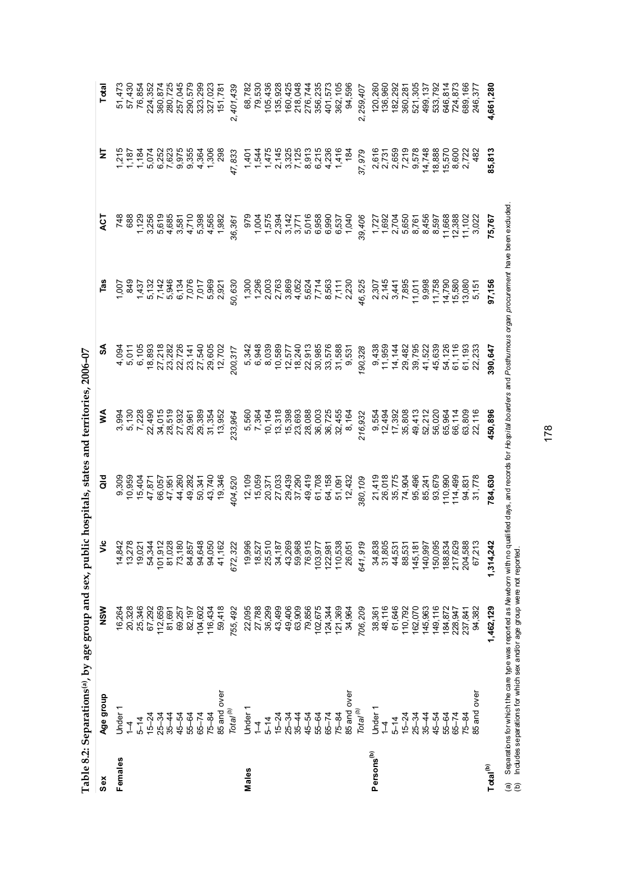|                        | what come of the community of the product of the second the parties. |                                                                             |                                                                                                                                                                                                                                                                                                                                  |   |                                                                                                                                                                                                                                                                                                                                                                                                                                                                                                      |  |                                                                                                                                                                                                                                                                                                                     |                                                                                                                                                                                                                                                                                                                                                                                                                    |
|------------------------|----------------------------------------------------------------------|-----------------------------------------------------------------------------|----------------------------------------------------------------------------------------------------------------------------------------------------------------------------------------------------------------------------------------------------------------------------------------------------------------------------------|---|------------------------------------------------------------------------------------------------------------------------------------------------------------------------------------------------------------------------------------------------------------------------------------------------------------------------------------------------------------------------------------------------------------------------------------------------------------------------------------------------------|--|---------------------------------------------------------------------------------------------------------------------------------------------------------------------------------------------------------------------------------------------------------------------------------------------------------------------|--------------------------------------------------------------------------------------------------------------------------------------------------------------------------------------------------------------------------------------------------------------------------------------------------------------------------------------------------------------------------------------------------------------------|
| Sex                    | Age group                                                            | NSW                                                                         |                                                                                                                                                                                                                                                                                                                                  | ā | રુ<br>જ                                                                                                                                                                                                                                                                                                                                                                                                                                                                                              |  |                                                                                                                                                                                                                                                                                                                     | Total                                                                                                                                                                                                                                                                                                                                                                                                              |
| Females                | Under                                                                | 16,264                                                                      |                                                                                                                                                                                                                                                                                                                                  |   |                                                                                                                                                                                                                                                                                                                                                                                                                                                                                                      |  |                                                                                                                                                                                                                                                                                                                     |                                                                                                                                                                                                                                                                                                                                                                                                                    |
|                        |                                                                      | 20,328                                                                      |                                                                                                                                                                                                                                                                                                                                  |   |                                                                                                                                                                                                                                                                                                                                                                                                                                                                                                      |  |                                                                                                                                                                                                                                                                                                                     |                                                                                                                                                                                                                                                                                                                                                                                                                    |
|                        | $5 - 14$                                                             | 25,346<br>67,292<br>112,659                                                 |                                                                                                                                                                                                                                                                                                                                  |   |                                                                                                                                                                                                                                                                                                                                                                                                                                                                                                      |  |                                                                                                                                                                                                                                                                                                                     |                                                                                                                                                                                                                                                                                                                                                                                                                    |
|                        | $15 - 24$                                                            |                                                                             |                                                                                                                                                                                                                                                                                                                                  |   |                                                                                                                                                                                                                                                                                                                                                                                                                                                                                                      |  |                                                                                                                                                                                                                                                                                                                     |                                                                                                                                                                                                                                                                                                                                                                                                                    |
|                        | $25 - 34$                                                            |                                                                             |                                                                                                                                                                                                                                                                                                                                  |   |                                                                                                                                                                                                                                                                                                                                                                                                                                                                                                      |  |                                                                                                                                                                                                                                                                                                                     |                                                                                                                                                                                                                                                                                                                                                                                                                    |
|                        | $35 - 44$                                                            | 81,691                                                                      |                                                                                                                                                                                                                                                                                                                                  |   |                                                                                                                                                                                                                                                                                                                                                                                                                                                                                                      |  |                                                                                                                                                                                                                                                                                                                     |                                                                                                                                                                                                                                                                                                                                                                                                                    |
|                        | 45-54                                                                | 69,257                                                                      |                                                                                                                                                                                                                                                                                                                                  |   |                                                                                                                                                                                                                                                                                                                                                                                                                                                                                                      |  |                                                                                                                                                                                                                                                                                                                     |                                                                                                                                                                                                                                                                                                                                                                                                                    |
|                        | 55-64                                                                | 82,197                                                                      |                                                                                                                                                                                                                                                                                                                                  |   |                                                                                                                                                                                                                                                                                                                                                                                                                                                                                                      |  |                                                                                                                                                                                                                                                                                                                     |                                                                                                                                                                                                                                                                                                                                                                                                                    |
|                        | $65 - 74$                                                            |                                                                             |                                                                                                                                                                                                                                                                                                                                  |   |                                                                                                                                                                                                                                                                                                                                                                                                                                                                                                      |  |                                                                                                                                                                                                                                                                                                                     |                                                                                                                                                                                                                                                                                                                                                                                                                    |
|                        | $75 - 84$                                                            |                                                                             |                                                                                                                                                                                                                                                                                                                                  |   |                                                                                                                                                                                                                                                                                                                                                                                                                                                                                                      |  |                                                                                                                                                                                                                                                                                                                     |                                                                                                                                                                                                                                                                                                                                                                                                                    |
|                        | 85 and over                                                          | 104,602<br>116,434<br>59,418                                                |                                                                                                                                                                                                                                                                                                                                  |   |                                                                                                                                                                                                                                                                                                                                                                                                                                                                                                      |  |                                                                                                                                                                                                                                                                                                                     |                                                                                                                                                                                                                                                                                                                                                                                                                    |
|                        | Total <sup>(b)</sup>                                                 | 755,492                                                                     |                                                                                                                                                                                                                                                                                                                                  |   |                                                                                                                                                                                                                                                                                                                                                                                                                                                                                                      |  | $\frac{1}{2}$ $\frac{1}{2}$ $\frac{1}{2}$ $\frac{1}{2}$ $\frac{1}{2}$ $\frac{1}{2}$ $\frac{1}{2}$ $\frac{1}{2}$ $\frac{1}{2}$ $\frac{1}{2}$ $\frac{1}{2}$ $\frac{1}{2}$ $\frac{1}{2}$ $\frac{1}{2}$ $\frac{1}{2}$ $\frac{1}{2}$ $\frac{1}{2}$ $\frac{1}{2}$ $\frac{1}{2}$ $\frac{1}{2}$ $\frac{1}{2}$ $\frac{1}{2}$ | $\begin{array}{l} 75.85\, \text{m} \ \text{m} \ \text{m} \ \text{m} \ \text{m} \ \text{m} \ \text{m} \ \text{m} \ \text{m} \ \text{m} \ \text{m} \ \text{m} \ \text{m} \ \text{m} \ \text{m} \ \text{m} \ \text{m} \ \text{m} \ \text{m} \ \text{m} \ \text{m} \ \text{m} \ \text{m} \ \text{m} \ \text{m} \ \text{m} \ \text{m} \ \text{m} \ \text{m} \ \text{m} \ \text{m} \ \text{m} \ \text{m} \ \text{m} \ \$ |
| Males                  | Under 1                                                              | 22,095<br>27,788                                                            |                                                                                                                                                                                                                                                                                                                                  |   |                                                                                                                                                                                                                                                                                                                                                                                                                                                                                                      |  |                                                                                                                                                                                                                                                                                                                     |                                                                                                                                                                                                                                                                                                                                                                                                                    |
|                        | 7                                                                    |                                                                             |                                                                                                                                                                                                                                                                                                                                  |   |                                                                                                                                                                                                                                                                                                                                                                                                                                                                                                      |  |                                                                                                                                                                                                                                                                                                                     |                                                                                                                                                                                                                                                                                                                                                                                                                    |
|                        | $5 - 14$                                                             | 36,299                                                                      |                                                                                                                                                                                                                                                                                                                                  |   |                                                                                                                                                                                                                                                                                                                                                                                                                                                                                                      |  |                                                                                                                                                                                                                                                                                                                     |                                                                                                                                                                                                                                                                                                                                                                                                                    |
|                        | $15 - 24$                                                            | 43,499<br>49,406<br>49,809<br>63,856<br>702,675<br>102,675                  |                                                                                                                                                                                                                                                                                                                                  |   |                                                                                                                                                                                                                                                                                                                                                                                                                                                                                                      |  |                                                                                                                                                                                                                                                                                                                     |                                                                                                                                                                                                                                                                                                                                                                                                                    |
|                        | $25 - 34$                                                            |                                                                             |                                                                                                                                                                                                                                                                                                                                  |   |                                                                                                                                                                                                                                                                                                                                                                                                                                                                                                      |  |                                                                                                                                                                                                                                                                                                                     |                                                                                                                                                                                                                                                                                                                                                                                                                    |
|                        | $35 - 44$                                                            |                                                                             |                                                                                                                                                                                                                                                                                                                                  |   |                                                                                                                                                                                                                                                                                                                                                                                                                                                                                                      |  |                                                                                                                                                                                                                                                                                                                     |                                                                                                                                                                                                                                                                                                                                                                                                                    |
|                        | 45-54                                                                |                                                                             |                                                                                                                                                                                                                                                                                                                                  |   |                                                                                                                                                                                                                                                                                                                                                                                                                                                                                                      |  |                                                                                                                                                                                                                                                                                                                     |                                                                                                                                                                                                                                                                                                                                                                                                                    |
|                        | 55-64                                                                |                                                                             |                                                                                                                                                                                                                                                                                                                                  |   |                                                                                                                                                                                                                                                                                                                                                                                                                                                                                                      |  |                                                                                                                                                                                                                                                                                                                     |                                                                                                                                                                                                                                                                                                                                                                                                                    |
|                        | $65 - 74$                                                            |                                                                             |                                                                                                                                                                                                                                                                                                                                  |   |                                                                                                                                                                                                                                                                                                                                                                                                                                                                                                      |  |                                                                                                                                                                                                                                                                                                                     |                                                                                                                                                                                                                                                                                                                                                                                                                    |
|                        | $75 - 84$                                                            |                                                                             |                                                                                                                                                                                                                                                                                                                                  |   |                                                                                                                                                                                                                                                                                                                                                                                                                                                                                                      |  |                                                                                                                                                                                                                                                                                                                     |                                                                                                                                                                                                                                                                                                                                                                                                                    |
|                        | 35 and over                                                          | 124,344<br>121,369<br>34,964                                                |                                                                                                                                                                                                                                                                                                                                  |   |                                                                                                                                                                                                                                                                                                                                                                                                                                                                                                      |  |                                                                                                                                                                                                                                                                                                                     |                                                                                                                                                                                                                                                                                                                                                                                                                    |
|                        | Total <sup>(b)</sup>                                                 | 706,209                                                                     |                                                                                                                                                                                                                                                                                                                                  |   |                                                                                                                                                                                                                                                                                                                                                                                                                                                                                                      |  |                                                                                                                                                                                                                                                                                                                     |                                                                                                                                                                                                                                                                                                                                                                                                                    |
| Persons <sup>(b)</sup> | Under                                                                |                                                                             |                                                                                                                                                                                                                                                                                                                                  |   |                                                                                                                                                                                                                                                                                                                                                                                                                                                                                                      |  |                                                                                                                                                                                                                                                                                                                     |                                                                                                                                                                                                                                                                                                                                                                                                                    |
|                        | $\overline{1}$                                                       |                                                                             |                                                                                                                                                                                                                                                                                                                                  |   |                                                                                                                                                                                                                                                                                                                                                                                                                                                                                                      |  |                                                                                                                                                                                                                                                                                                                     |                                                                                                                                                                                                                                                                                                                                                                                                                    |
|                        | $5 - 14$                                                             | 38,361<br>48,116<br>61,646                                                  |                                                                                                                                                                                                                                                                                                                                  |   |                                                                                                                                                                                                                                                                                                                                                                                                                                                                                                      |  |                                                                                                                                                                                                                                                                                                                     |                                                                                                                                                                                                                                                                                                                                                                                                                    |
|                        | $15 - 24$                                                            |                                                                             |                                                                                                                                                                                                                                                                                                                                  |   |                                                                                                                                                                                                                                                                                                                                                                                                                                                                                                      |  |                                                                                                                                                                                                                                                                                                                     |                                                                                                                                                                                                                                                                                                                                                                                                                    |
|                        | $25 - 34$                                                            |                                                                             |                                                                                                                                                                                                                                                                                                                                  |   |                                                                                                                                                                                                                                                                                                                                                                                                                                                                                                      |  |                                                                                                                                                                                                                                                                                                                     |                                                                                                                                                                                                                                                                                                                                                                                                                    |
|                        | $35 - 44$                                                            | 110,792<br>162,070<br>145,963<br>149,872<br>184,872<br>237,841<br>237,84382 |                                                                                                                                                                                                                                                                                                                                  |   |                                                                                                                                                                                                                                                                                                                                                                                                                                                                                                      |  |                                                                                                                                                                                                                                                                                                                     |                                                                                                                                                                                                                                                                                                                                                                                                                    |
|                        | 45-54                                                                |                                                                             |                                                                                                                                                                                                                                                                                                                                  |   |                                                                                                                                                                                                                                                                                                                                                                                                                                                                                                      |  |                                                                                                                                                                                                                                                                                                                     |                                                                                                                                                                                                                                                                                                                                                                                                                    |
|                        | 55-64                                                                |                                                                             |                                                                                                                                                                                                                                                                                                                                  |   |                                                                                                                                                                                                                                                                                                                                                                                                                                                                                                      |  |                                                                                                                                                                                                                                                                                                                     |                                                                                                                                                                                                                                                                                                                                                                                                                    |
|                        | $65 - 74$                                                            |                                                                             |                                                                                                                                                                                                                                                                                                                                  |   |                                                                                                                                                                                                                                                                                                                                                                                                                                                                                                      |  |                                                                                                                                                                                                                                                                                                                     |                                                                                                                                                                                                                                                                                                                                                                                                                    |
|                        | $75 - 8$                                                             |                                                                             |                                                                                                                                                                                                                                                                                                                                  |   |                                                                                                                                                                                                                                                                                                                                                                                                                                                                                                      |  |                                                                                                                                                                                                                                                                                                                     |                                                                                                                                                                                                                                                                                                                                                                                                                    |
|                        | <b>B5</b> and over                                                   |                                                                             |                                                                                                                                                                                                                                                                                                                                  |   |                                                                                                                                                                                                                                                                                                                                                                                                                                                                                                      |  |                                                                                                                                                                                                                                                                                                                     |                                                                                                                                                                                                                                                                                                                                                                                                                    |
| Total <sup>(b)</sup>   |                                                                      | 1,462,129                                                                   | $\begin{smallmatrix} 1 & 1 & 1 & 1 & 1 \\ 1 & 1 & 1 & 1 & 1 \\ 1 & 1 & 1 & 1 & 1 \\ 1 & 1 & 1 & 1 & 1 \\ 1 & 1 & 1 & 1 & 1 \\ 1 & 1 & 1 & 1 & 1 \\ 1 & 1 & 1 & 1 & 1 \\ 1 & 1 & 1 & 1 & 1 \\ 1 & 1 & 1 & 1 & 1 \\ 1 & 1 & 1 & 1 & 1 \\ 1 & 1 & 1 & 1 & 1 \\ 1 & 1 & 1 & 1 & 1 \\ 1 & 1 & 1 & 1 & 1 \\ 1 & 1 & 1 & 1 & 1 \\ 1 & $ |   | $\begin{array}{l} 4\, \pi\, \pi\, \sigma\, \sigma\, \tau\, \gamma\, \gamma\, \gamma\, \gamma\, \gamma\, \delta\, \gamma\, \delta\, \gamma\, \gamma\, \delta\, \gamma\, \delta\, \gamma\, \delta\, \gamma\, \delta\, \gamma\, \delta\, \gamma\, \delta\, \gamma\, \delta\, \gamma\, \delta\, \gamma\, \delta\, \gamma\, \delta\, \gamma\, \delta\, \gamma\, \delta\, \gamma\, \delta\, \gamma\, \delta\, \gamma\, \delta\, \gamma\, \delta\, \gamma\, \delta\, \gamma\, \delta\, \gamma\, \delta\, \$ |  | 85,813                                                                                                                                                                                                                                                                                                              | 4,661,280                                                                                                                                                                                                                                                                                                                                                                                                          |

Table 8.2: Separations<sup>(a)</sup>, by age group and sex, public hospitals, states and territories, 2006-07 **Table 8.2: Separations(a), by age group and sex, public hospitals, states and territories, 2006–07**  (a) Separations for which the care type was reported as Me*wborn* with no qualified days, and records for *Hospital boarders* and Posthu*mous organ procurement* have been exduded.<br>(b) Includes separations for which sex and *Newborn* with no qualified days, and records for *Hospital boarders* and *Posthumous organ procurement* have been excluded. (b) Includes separations for which sex and/or age group were not reported. (a) Separations for which the care type was reported as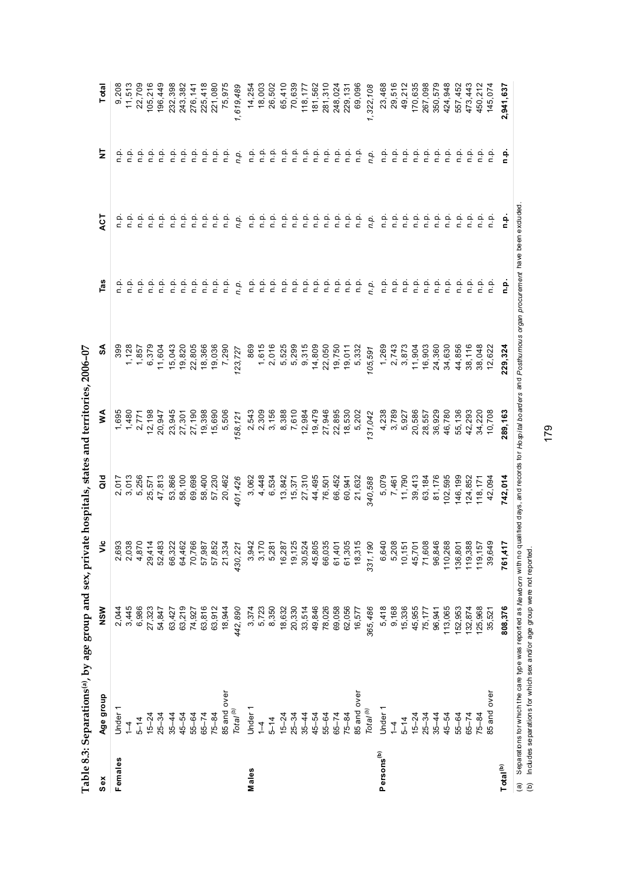| Sex                    |                                                                                                                                                                      |         |                    |         |                  |                |         |                             |         |           |
|------------------------|----------------------------------------------------------------------------------------------------------------------------------------------------------------------|---------|--------------------|---------|------------------|----------------|---------|-----------------------------|---------|-----------|
|                        | Age group                                                                                                                                                            | NSW     | š                  | a<br>G  | ≸                | ઙ్             | Tas     | ДCТ                         | ā       | Total     |
| Females                | Under                                                                                                                                                                | 2,044   |                    | 2,017   | 1,695            | 399            |         |                             | ن<br>E  | 9,208     |
|                        | $\frac{1}{4}$                                                                                                                                                        | 3,445   | 2,693<br>2,038     | 3,013   | 1,480            | 1,128          |         |                             | n.p.    | 11,513    |
|                        | $5 - 14$                                                                                                                                                             | 6,986   | 4,870              | 5,256   | 2,771            | 1,857          | ف<br>n  | ف<br>p                      | n.p.    | 22,709    |
|                        | $15 - 24$                                                                                                                                                            | 27,323  | 29,414             | 25,571  | 12,198           | 6,379          | ن<br>ء  | ن<br>p                      | ن<br>p  | 105,216   |
|                        | $25 - 34$                                                                                                                                                            | 54,847  | 52,483             | 47,813  | 20,947           | 11,604         | ف<br>ء  | ن<br>p                      | ن<br>غ  | 196,449   |
|                        | $35 - 44$                                                                                                                                                            | 63,427  | 66,322             | 53,866  |                  | 15,043         | م.<br>n | a.<br>E                     | ن<br>p  | 232,398   |
|                        | 45-54                                                                                                                                                                | 63,219  | 64,462             | 58,100  | 23,945<br>27,301 | 19,820         | n.p     | ف<br>a                      | n.p.    | 243,382   |
|                        | 55-64                                                                                                                                                                | 74,927  | 70,766             | 69,698  | 27,190           | 22,805         | ۹.<br>¤ | ف<br>a                      | n.p.    | 276,141   |
|                        | $65 - 74$                                                                                                                                                            | 63,816  | 57,987<br>57,852   | 58,400  | 19,398           | 18,366         | ن<br>ء  |                             | n.p.    | 225,418   |
|                        | $75 - 84$                                                                                                                                                            | 63,912  |                    | 57,230  | 15,690           | 19,036         | a.<br>P | $\frac{a}{c}$ $\frac{a}{c}$ | n.p.    | 221,080   |
|                        | 85 and over                                                                                                                                                          | 18,944  | 21,334             | 20,462  | 5,506            | 7,290          | n.p     | n.p                         | n.p.    | 75,975    |
|                        | $\mathcal{T}ota^{(b)}$                                                                                                                                               | 442,890 | 430,221            | 401,426 | 158,121          | 123,727        | n.p.    | n.p.                        | n.p.    | 1,619,489 |
| Males                  | Under                                                                                                                                                                | 3,374   | 3,942              | 3,062   | 2,543            | 869            | م.<br>P | ن<br>a                      | n.p.    | 14,254    |
|                        | $\overline{1}$                                                                                                                                                       | 5,723   | 3,170              | 4,448   | 2,309            | 1,615          | n.p     | n.p                         | o.<br>D | 18,003    |
|                        | $5 - 14$                                                                                                                                                             | 8,350   | 5,281              | 6,534   | 3,156            | 2,016          | n.p     | م<br>a                      | ف<br>n  | 26,502    |
|                        | $15 - 24$                                                                                                                                                            | 18,632  | 16,287             | 13,842  | 8,388            | 5,525<br>5,299 | ن<br>ء  | n.p                         | n.p.    | 65,410    |
|                        | $25 - 34$                                                                                                                                                            | 20,330  | <b>125</b><br>19,1 | 15,371  | 7,610            |                | n.p     | q.q                         | ف<br>n  | 70,639    |
|                        | $35 - 44$                                                                                                                                                            | 33,514  | 30,524             | 27,310  | 12,984<br>19,479 | 9,315          | n.p.    | n.p                         | n.p.    | 118,177   |
|                        | $45 - 54$                                                                                                                                                            | 49,846  | 45,805             | 44,495  |                  | 14,809         | ف<br>n  | ن<br>p                      | ρ.<br>Γ | 181,562   |
|                        | $55 - 64$                                                                                                                                                            | 78,026  | 66,035             | 76,501  | 27,946           | 22,050         | ف<br>n  | n.p                         | ρ.<br>Γ | 281,310   |
|                        | $65 - 74$                                                                                                                                                            | 69,058  | 61,401<br>61,305   | 66,452  | 22,895           | 19,750         | n.p.    | o.<br>D                     | n.p.    | 248,024   |
|                        | $75 - 84$                                                                                                                                                            | 62,056  |                    | 60,941  | 18,530           | 19,011         | n.p.    | ف<br>n                      | o.<br>D | 229, 131  |
|                        | 85 and over                                                                                                                                                          | 16,577  | 18,315             | 21,632  | 5,202            | 5,332          | a.<br>E | n.p                         | ف<br>n  | 69,096    |
|                        | Total <sup>(b)</sup>                                                                                                                                                 | 365,486 | 331,190            | 340,588 | 131,042          | 105,591        | n.p.    | n.p.                        | n.p.    | 1,322,108 |
| Persons <sup>(b)</sup> | Under                                                                                                                                                                | 5,418   | 6,640              | 5,079   | 4,238            | 1,269          | ف<br>n  | ن<br>ء                      | ρ.<br>Γ | 23,468    |
|                        | $1 - 4$                                                                                                                                                              | 9,168   | 5,208              | 7,461   | 3,789            | 2,743          | n.p.    | ف<br>ء                      | n.p.    | 29,516    |
|                        | $5 - 14$                                                                                                                                                             | 15,336  | 51<br>10,1         | 11,790  | 5,927            | 3,873          | ف<br>ء  | ن<br>p                      | ن<br>ء  | 49,212    |
|                        | $15 - 24$                                                                                                                                                            | 45,955  | 45,701             | 39,413  | 20,586           | 11,904         | ن<br>ء  | ف<br>p                      | ن<br>p  | 170,635   |
|                        | $25 - 34$                                                                                                                                                            | 75,177  | 71,608             | 63,184  | 28,557           | 16,903         | ن<br>ء  | $\frac{a}{c}$               | ن<br>p  | 267,098   |
|                        | $35 - 44$                                                                                                                                                            | 96,941  | 96,846             | 81,176  | 36,929           | 24,360         | ن<br>ء  |                             | n.p.    | 350,579   |
|                        | $45 - 54$                                                                                                                                                            | 113,065 | 110,268            | 102,595 | 46,780           | 34,630         | ف<br>n  | e e<br>e e                  | n.p.    | 424,948   |
|                        | 55-64                                                                                                                                                                | 152,953 | 136,801            | 146,199 | 55,136           | 44,856         | ن<br>ء  | ف<br>a                      | ن<br>ء  | 557,452   |
|                        | $65 - 74$                                                                                                                                                            | 132,874 | 119,388            | 124,852 | 42,293           | 38,116         | ن<br>ء  | n.p                         | ن<br>p  | 473,443   |
|                        | $75 - 84$                                                                                                                                                            | 125,968 | 119,157            | 118,171 | 34,220           | 38,048         | ن<br>ء  | a.<br>D                     | n.p.    | 450,212   |
|                        | over<br>85 and                                                                                                                                                       | 35,521  | 39,649             | 42,094  | 10,708           | 12,622         | q.q     | q.n                         | q.n     | 145,074   |
| Total <sup>(b)</sup>   |                                                                                                                                                                      | 808,376 | 761,417            | 742,014 | 289,163          | 229,324        | ف<br>1  | ۔<br>ء                      | ف<br>ء  | 2,941,637 |
| @                      | Separations for which the care type was reported as Newborn with no qualified days, and records for the piarders and Posthumous organ procurement have been exduded. |         |                    |         |                  |                |         |                             |         |           |

179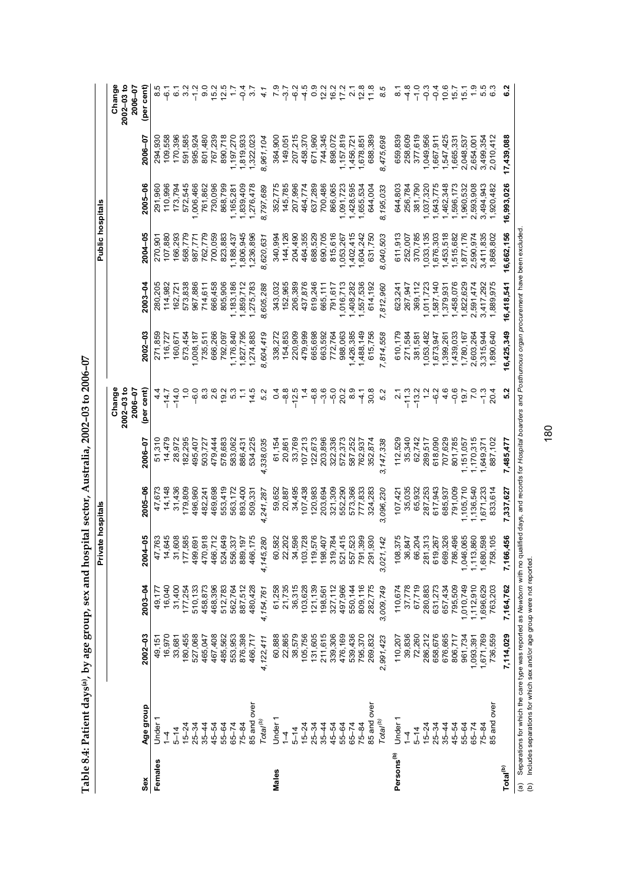|                        |                      |             |                    | Private hospitals        |           |           |                           |            |             | Public hospitals |            |            |                           |
|------------------------|----------------------|-------------|--------------------|--------------------------|-----------|-----------|---------------------------|------------|-------------|------------------|------------|------------|---------------------------|
|                        |                      |             |                    |                          |           |           | Change                    |            |             |                  |            |            | Change                    |
|                        |                      |             |                    |                          |           |           | $2002 - 03 to$<br>2006-07 |            |             |                  |            |            | $2002 - 03$ to<br>2006-07 |
| Sex                    | Age group            | $2002 - 03$ | $2003 - 04$        | 2004-05                  | 2005-06   | 2006-07   | (per cent)                | 2002-03    | $2003 - 04$ | 2004-05          | 2005-06    | 2006-07    | (per cent)                |
| Females                | Under                | 49,151      | 49,177             | 4                        | 47,673    | 51,310    | 4<br>4                    | 271,859    | 280,205     | 270,90           | 291,960    | 294,930    |                           |
|                        | $\overline{A}$       | 16,970      | 16,040             | 645<br>4                 | 14,148    | 14,479    | $-14.7$                   | 116,727    | 114,982     | 107,880          | 110,996    | 109,558    | 7ء<br>م                   |
|                        | $5 - 14$             | 33,681      | 31,400             | 608<br>$\tilde{5}$       | 31,436    | 28,972    | $-14.0$                   | 160,671    | 162,721     | 166,293          | 173,794    | 170,396    | $\overline{6}$ 1          |
|                        | $15 - 24$            | 180,455     | 177,254            | 585<br>177               | 179,809   | 182,295   | $\frac{0}{1}$             | 573,454    | 573,838     | 568,779          | 572,545    | 591,585    | 3.2                       |
|                        | $25 - 34$            | 527,068     | 510,133            | 691<br>499               | 496,960   | 495,407   | $-6.0$                    | 1,008,187  | 967,886     | 987,771          | 1,006,466  | 995,924    | $\frac{2}{1}$             |
|                        | $35 - 44$            | 465,047     | 458,873            | 0,918<br>470             | 482,241   | 503,727   | 8.3                       | 735,511    | 714,611     | 762,779          | 761,862    | 801,480    | $\overline{9}$ .0         |
|                        | 45-54                | 467,408     | 468,396            | 466                      | 469,698   | 479,444   | 2.6                       | 666,266    | 666,458     | 700,059          | 730,096    | 767,239    | 15.2                      |
|                        | 55-64                | 485,562     | 512,783            | 649<br>524               | 553,419   | 578,683   | 19.2                      | 792,097    | 805,906     | 823,883          | 868,799    | 890,718    | 12.5                      |
|                        | $65 - 74$            | 553,953     | 562,764            | .337<br>556              | 563,172   | 583,062   | 5.3                       | 1,176,840  | 1,183,186   | ,188,437         | 1,165,281  | 1,197,270  |                           |
|                        | $75 - 84$            | 876,398     | 887,512            | 197<br>889               | 893,400   | 886,431   | $\ddot{ }$ :              | 1,827,795  | 1,859,712   | ,806,945         | 1,839,409  | 1,819,933  | $-9.4$                    |
|                        | 85 and over          | 466,717     | 480,428            | ,175<br>466              | 509,33    | 534,225   | 14.5                      | 1,274,883  | 1,275,783   | ,236,896         | 1,276,478  | 1,322,023  | 3.7                       |
|                        | Total <sup>(b)</sup> | 4,122,411   | 4,154,761          | 280<br>4,145,            | 4,241,287 | 4,338,035 | 5.2                       | 8,604,419  | 8,605,288   | 8,620,631        | 8,797,689  | 8,961,104  | 4.1                       |
| Males                  | Under                | 60,888      | 61,258             | ,582<br>8                | 59,652    | 61,154    | 0.4                       | 338,272    | 343,032     | 340,994          | 352,775    | 364,900    |                           |
|                        | $\overline{1}$       | 22,865      | 21,735             | 202<br>ನಿ                | 20,887    | 20,861    | $-8.8$                    | 154,853    | 152,965     | 144,126          | 145,785    | 149,051    | 7ء<br>م                   |
|                        | $5 - 14$             | 38,579      | 36,315             | ,596<br>रू               | 34,495    | 33,769    | $-12.5$                   | 220,909    | 206,389     | 204,490          | 207,996    | 207,215    | <u>م</u><br>م             |
|                        | $15 - 24$            | 105,756     | 103,628            | 1,728<br>$\frac{2}{3}$   | 107,438   | 107,213   | 1.4                       | 479,999    | 437,876     | 464,355          | 464,774    | 458,370    | م.<br>1                   |
|                        | $25 - 34$            | 131,605     | 121,139            | 576<br>$\frac{6}{10}$    | 120,983   | 122,673   | $-6.8$                    | 665,698    | 619,246     | 688,529          | 637,289    | 671,960    | $\frac{6}{10}$            |
|                        | $35 - 44$            | 211,615     | 198,561            | 101,<br>198              | 203,694   | 203,896   | $-3.6$                    | 663,592    | 665,111     | 690,705          | 700,486    | 744,345    | $\frac{2}{2}$             |
|                        | 45-54                | 339,306     | 327,112            | 319,784                  | 321,309   | 322,336   | $-5.0$                    | 772,764    | 791,617     | 815,616          | 866,065    | 898,072    | 16.2                      |
|                        | 55-64                | 476,169     | 497,966            | ,415<br>521              | 552,290   | 572,373   | 20.2                      | 988,063    | ,016,713    | 1,053,267        | 1,091,723  | ,157,819   | 17.2                      |
|                        | $65 - 74$            | 539,436     | 550,144            | ,523<br>557              | 573,366   | 587,252   | $\frac{8}{3}$             | 1,426,385  | ,408,282    | ,402,415         | 1,428,595  | 1,456,72   | $\overline{2}$            |
|                        | $75 - 84$            | 795,370     | 809,116            | <b>399</b><br><b>791</b> | 777,833   | 762,937   | $\frac{1}{4}$             | 1,488,149  | 557,536     | ,604,242         | ,655,534   | 1,678,851  | 12.8                      |
|                        | 85 and over          | 269,832     | 282,775            | 930<br>291               | 324,283   | 352,874   | 30.8                      | 615,756    | 614,192     | 631,750          | 644,004    | 688,389    | 11.8                      |
|                        | Total <sup>(b)</sup> | 2,991,423   | 3,009,749          | 142<br>3,021,            | 3,096,230 | 3,147,338 | 5.2                       | 7,814,558  | 7,812,960   | 8,040,503        | 8,195,033  | 8,475,698  | 8.5                       |
| Persons <sup>(b)</sup> | Under                | 110,207     | 110,674            | 375<br>108               | 107,421   | 112,529   | 21                        | 610,179    | 623,241     | 611,913          | 644,803    | 659,839    | ∞                         |
|                        | $\frac{4}{1}$        | 39,836      | 37,778             | 847<br>8                 | 35,035    | 35,340    | $-11.3$                   | 271,584    | 267,947     | 252,007          | 256,784    | 258,609    | $\frac{8}{1}$             |
|                        | $5 - 14$             | 72,260      | 67,719             | 204<br>8                 | 65,932    | 62,742    | $-13.2$                   | 381,581    | 369,112     | 370,785          | 381,790    | 377,619    | $-1.0$                    |
|                        | $15 - 24$            | 286,212     | 280,883            | 313<br>281               | 287,253   | 289,517   | $\frac{2}{1}$             | 1,053,482  | ,011,723    | ,033,135         | ,037,320   | ,049,956   | $-0.3$                    |
|                        | $25 - 34$            | 658,676     | 631,273<br>657,434 | ,267<br>619              | 617,943   | 618,090   | $-6.2$                    | 1,673,947  | ,587,140    | ,676,303         | ,643,775   | 1,667,911  | $-9.4$                    |
|                        | $35 - 44$            | 676,665     |                    | ,326<br>669              | 685,937   | 707,629   | 4.6                       | 1,399,261  | ,379,931    | ,453,518         | ,462,348   | 1,547,425  | 10.6                      |
|                        | 45–54                | 806,717     | 795,509            | ,496<br>786              | 791,009   | 801,785   | $-0.6$                    | 1,439,033  | 1,458,076   | ,515,682         | ,596,173   | 1,665,331  | 15.7                      |
|                        | 55-64                | 961,734     | 1,010,749          | ,065<br>1,046            | ,105,710  | ,151,057  | 19.7                      | 1,780,167  | 1,822,629   | ,877,176         | 1,960,532  | 2,048,537  | 15.1                      |
|                        | $65 - 74$            | 1,093,391   | 1,112,910          | ,860<br>1,113            | ,136,540  | ,170,315  | $\overline{2}$            | 2,603,264  | 2,591,474   | 2,590,974        | 2,593,908  | 2,654,001  |                           |
|                        | $75 - 84$            | 1,671,769   | 1,696,629          | ,598<br>1,680            | 671,233   | ,649,371  | $\frac{1}{2}$             | 3,315,944  | 3,417,292   | 3,411,835        | 3,494,943  | 3,499,354  | 5.5                       |
|                        | 85 and over          | 736,559     | 763,203            | 758,105                  | 833,614   | 887,102   | 20.4                      | 1,890,640  | 1,889,975   | ,868,802         | ,920,482   | 2,010,412  |                           |
| Total <sup>(b)</sup>   |                      | 7,114,029   | 7,164,762          | 7,166,456                | 7,337,627 | 7,485,477 | $\frac{2}{5}$             | 16,425,349 | 16,418,541  | 16,662,156       | 16,993,026 | 17,439,088 |                           |

Table 8.4: Patient days<sup>(a)</sup>, by age group, sex and hospital sector, Australia, 2002-03 to 2006-07 **Table 8.4: Patient days(a), by age group, sex and hospital sector, Australia, 2002–03 to 2006–07**  (a) Separations for which the care type was reported as Newborn with no qualified days, and records for Hospital boarders and Posthurnous organ procurement have been excluded.<br>(b) Includes separations for which sex and/or (a) Separations for which the care type was reported as *Newborn* with no qualified days, and records for *Hospital boarders* and *Posthumous organ procurement* have been excluded. (b) Includes separations for which sex and/or age group were not reported.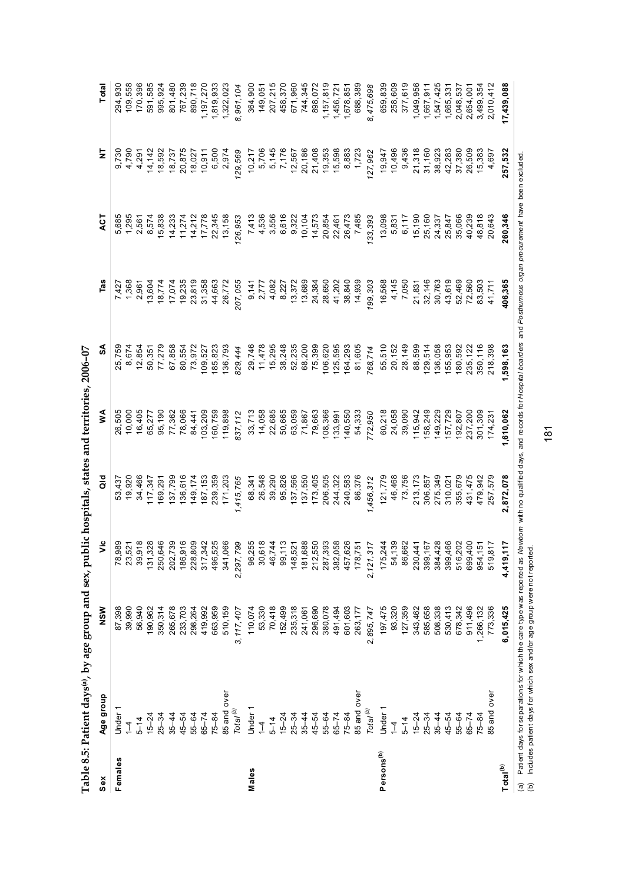|                        | what we have done to have in the same in the same in the same is the same of the same of the same is the same of the same of the same of the same of the same of the same of the same of the same of the same of the same of t |                               |                                                                                                                                                                                                                                                                       |                                  |                    |                                          |                                                                    |                                                                |                                                                                                                                                                                                                                                                                             |                        |
|------------------------|--------------------------------------------------------------------------------------------------------------------------------------------------------------------------------------------------------------------------------|-------------------------------|-----------------------------------------------------------------------------------------------------------------------------------------------------------------------------------------------------------------------------------------------------------------------|----------------------------------|--------------------|------------------------------------------|--------------------------------------------------------------------|----------------------------------------------------------------|---------------------------------------------------------------------------------------------------------------------------------------------------------------------------------------------------------------------------------------------------------------------------------------------|------------------------|
| Sex                    | Age group                                                                                                                                                                                                                      | NSW                           | ಕೆ                                                                                                                                                                                                                                                                    | a<br>G                           | ⋚                  | వ్                                       | Tas                                                                | ACT                                                            | ż                                                                                                                                                                                                                                                                                           | Total                  |
| Females                | Under                                                                                                                                                                                                                          |                               |                                                                                                                                                                                                                                                                       | 53,437                           | 26,505             | 25,759                                   |                                                                    | 5,685                                                          |                                                                                                                                                                                                                                                                                             | 294,930                |
|                        | $\overline{1}$                                                                                                                                                                                                                 | 87,398<br>39,990              |                                                                                                                                                                                                                                                                       | 19,920                           | 10,000             | 8,674                                    |                                                                    |                                                                | 9,730<br>4,790                                                                                                                                                                                                                                                                              | 109,558                |
|                        | $5 - 14$                                                                                                                                                                                                                       | 56,940                        |                                                                                                                                                                                                                                                                       | 34,466                           | 16,405             | 12,854                                   |                                                                    |                                                                | 4,291                                                                                                                                                                                                                                                                                       | 170,396                |
|                        | $15 - 24$                                                                                                                                                                                                                      | 190,962                       |                                                                                                                                                                                                                                                                       | 117,347                          | 65,277             | 50,351                                   |                                                                    |                                                                |                                                                                                                                                                                                                                                                                             | 591,585                |
|                        | $25 - 34$                                                                                                                                                                                                                      | 350,314                       |                                                                                                                                                                                                                                                                       | 169,291                          | 95,190             | 77,279                                   |                                                                    |                                                                |                                                                                                                                                                                                                                                                                             | 995,924                |
|                        | $35 - 44$                                                                                                                                                                                                                      | 265,678                       |                                                                                                                                                                                                                                                                       | 137,799                          | 77,362             | 67,858                                   |                                                                    |                                                                | $\begin{array}{l} 14,142 \\ 16,592 \\ 18,737 \\ 18,6027 \\ 19,737 \\ 19,750 \\ 19,750 \\ 19,750 \\ 19,750 \\ 19,750 \\ 19,750 \\ 19,750 \\ 19,750 \\ 19,750 \\ 19,750 \\ 19,750 \\ 19,750 \\ 19,750 \\ 19,750 \\ 19,750 \\ 19,750 \\ 19,750 \\ 19,750 \\ 19,750 \\ 19,750 \\ 19,750 \\ 19,$ | 801,480                |
|                        | $45 - 54$                                                                                                                                                                                                                      | 233,703                       |                                                                                                                                                                                                                                                                       | 136,616                          | 78,066             | 80,554                                   |                                                                    |                                                                |                                                                                                                                                                                                                                                                                             | 767,239                |
|                        | 55-64                                                                                                                                                                                                                          |                               |                                                                                                                                                                                                                                                                       |                                  | 84,441             | 73,972                                   |                                                                    |                                                                |                                                                                                                                                                                                                                                                                             | 890,718                |
|                        | $65 - 74$                                                                                                                                                                                                                      | 298,264<br>419,992<br>663,959 |                                                                                                                                                                                                                                                                       | 149, 174<br>187, 153<br>239, 359 | 103,209            | 109,527                                  |                                                                    |                                                                |                                                                                                                                                                                                                                                                                             | 1,197,270              |
|                        | $75 - 84$                                                                                                                                                                                                                      |                               |                                                                                                                                                                                                                                                                       |                                  | 160,759            | 85,823                                   |                                                                    |                                                                |                                                                                                                                                                                                                                                                                             | 1,819,933              |
|                        | 85 and over                                                                                                                                                                                                                    | 510,159                       |                                                                                                                                                                                                                                                                       | 171,203                          | 119,898            | 136,793                                  |                                                                    |                                                                |                                                                                                                                                                                                                                                                                             | 1,322,023              |
|                        | Total <sup>(b)</sup>                                                                                                                                                                                                           | 3,117,407                     | $\begin{smallmatrix} 89.9817 & 89.984 & 89.984 & 89.984 & 89.984 & 89.984 & 89.984 & 89.984 & 89.984 & 89.984 & 89.984 & 89.984 & 89.984 & 89.984 & 89.984 & 89.984 & 89.984 & 89.984 & 89.984 & 89.984 & 89.984 & 89.984 & 89.984 & 89.984 & 89.984 & 89.984 & 89.9$ | 1,415,765                        | 837,112            | 829,444                                  | 207,055                                                            | 126,953                                                        | 129,569                                                                                                                                                                                                                                                                                     | 8,961,104              |
| Males                  | Under                                                                                                                                                                                                                          | 110,074                       |                                                                                                                                                                                                                                                                       | 68,341                           |                    |                                          |                                                                    |                                                                |                                                                                                                                                                                                                                                                                             | 364,900                |
|                        | $1 - 4$                                                                                                                                                                                                                        | 53,330                        |                                                                                                                                                                                                                                                                       | 26,548                           | 33,713<br>14,058   | 29,746<br>11,478                         |                                                                    |                                                                |                                                                                                                                                                                                                                                                                             | 149,051                |
|                        | $5 - 14$                                                                                                                                                                                                                       | 70,418                        |                                                                                                                                                                                                                                                                       | 39,290                           | 22,685             |                                          |                                                                    |                                                                |                                                                                                                                                                                                                                                                                             | 207,215                |
|                        | $15 - 24$                                                                                                                                                                                                                      | 152,499                       |                                                                                                                                                                                                                                                                       | 95,826                           |                    |                                          |                                                                    |                                                                |                                                                                                                                                                                                                                                                                             | 458,370                |
|                        | $25 - 34$                                                                                                                                                                                                                      | 235,318                       |                                                                                                                                                                                                                                                                       | 137,566<br>137,550<br>173,405    | 50,665<br>63,059   | 15, 295<br>38, 248<br>52, 235<br>68, 200 |                                                                    |                                                                |                                                                                                                                                                                                                                                                                             | 671,960                |
|                        | $35 - 44$                                                                                                                                                                                                                      | 241,061                       |                                                                                                                                                                                                                                                                       |                                  | 71,867             |                                          |                                                                    |                                                                |                                                                                                                                                                                                                                                                                             | 744,345                |
|                        | $45 - 54$                                                                                                                                                                                                                      | 296,690                       |                                                                                                                                                                                                                                                                       |                                  | 79,663             | 75,399                                   |                                                                    |                                                                |                                                                                                                                                                                                                                                                                             | 898,072                |
|                        | $55 - 64$                                                                                                                                                                                                                      | 380,078                       |                                                                                                                                                                                                                                                                       | 206,505                          | 108,366            | 106,620                                  |                                                                    |                                                                |                                                                                                                                                                                                                                                                                             | 1,157,819<br>1,456,721 |
|                        | $65 - 74$                                                                                                                                                                                                                      | 491,494<br>601,603            |                                                                                                                                                                                                                                                                       | 244,322                          | 133,991            | 125,595                                  |                                                                    |                                                                |                                                                                                                                                                                                                                                                                             |                        |
|                        | $75 - 84$                                                                                                                                                                                                                      |                               |                                                                                                                                                                                                                                                                       | 240,583                          | 140,550            | 164,293                                  |                                                                    |                                                                |                                                                                                                                                                                                                                                                                             | 1,678,851              |
|                        | 85 and over                                                                                                                                                                                                                    | 263,177                       |                                                                                                                                                                                                                                                                       | 86,376                           | 54,333             | 81,605                                   |                                                                    |                                                                |                                                                                                                                                                                                                                                                                             | 688,389                |
|                        | Total <sup>(b)</sup>                                                                                                                                                                                                           | 2,895,747                     |                                                                                                                                                                                                                                                                       | 1,456,312                        | 772,950            | 768,714                                  | 199,303                                                            | 133, 393                                                       |                                                                                                                                                                                                                                                                                             | 8,475,698              |
| Persons <sup>(b)</sup> | Under                                                                                                                                                                                                                          | 197,475                       |                                                                                                                                                                                                                                                                       | 121,779                          | 60,218             | 55,510                                   |                                                                    |                                                                | 19,947                                                                                                                                                                                                                                                                                      | 659,839                |
|                        | $\frac{1}{4}$                                                                                                                                                                                                                  | 93,320                        |                                                                                                                                                                                                                                                                       | 46,468                           | 24,058             | 20, 152                                  |                                                                    |                                                                | 10,496                                                                                                                                                                                                                                                                                      | 258,609                |
|                        | $5 - 14$                                                                                                                                                                                                                       | 127,359                       |                                                                                                                                                                                                                                                                       | 73,756                           | 39,090             | 28, 149                                  | 16,568<br>4,145<br>7,050                                           | 098<br>5837<br>5837 5847<br>58837<br>5888888<br>598<br>5988888 | 9,436                                                                                                                                                                                                                                                                                       | 377,619                |
|                        | $15 - 24$                                                                                                                                                                                                                      | 343,462                       |                                                                                                                                                                                                                                                                       | 213,173                          | 115,942            | 88,599                                   | 21,831<br>32,146<br>30,763<br>30,560<br>41,711<br>83,503<br>41,711 |                                                                |                                                                                                                                                                                                                                                                                             | 1,049,956              |
|                        | $25 - 34$                                                                                                                                                                                                                      | 585,658                       |                                                                                                                                                                                                                                                                       | 306,857                          | 158,249            | 129,514                                  |                                                                    |                                                                | 21,318<br>31,160                                                                                                                                                                                                                                                                            | 1,667,911              |
|                        | $35 - 44$                                                                                                                                                                                                                      | 508,338                       |                                                                                                                                                                                                                                                                       | 275,349                          | 149,229            | 136,058                                  |                                                                    |                                                                |                                                                                                                                                                                                                                                                                             | 1,547,425              |
|                        | $45 - 54$                                                                                                                                                                                                                      | 530,413                       |                                                                                                                                                                                                                                                                       | 310,021                          | 157,729<br>192,807 | 155,953                                  |                                                                    |                                                                |                                                                                                                                                                                                                                                                                             | 1,665,331              |
|                        | 55-64                                                                                                                                                                                                                          | 678,342                       |                                                                                                                                                                                                                                                                       | 355,679                          |                    | 180,592                                  |                                                                    |                                                                |                                                                                                                                                                                                                                                                                             | 2,048,537              |
|                        | $65 - 74$                                                                                                                                                                                                                      | 911,496                       |                                                                                                                                                                                                                                                                       | 431,475                          | 237,200            | 235, 122                                 |                                                                    |                                                                |                                                                                                                                                                                                                                                                                             | 2,654,001              |
|                        | $75 - 84$                                                                                                                                                                                                                      |                               |                                                                                                                                                                                                                                                                       | 479,942                          | 301,309            | 350, 116<br>218, 398                     |                                                                    | 48,818<br>20,643                                               |                                                                                                                                                                                                                                                                                             | 3,499,354              |
|                        | 85 and over                                                                                                                                                                                                                    | 1,266,132<br>773,336          |                                                                                                                                                                                                                                                                       | 257,579                          | 174,231            |                                          |                                                                    |                                                                |                                                                                                                                                                                                                                                                                             | 2,010,412              |
| Total <sup>(b)</sup>   |                                                                                                                                                                                                                                | 6,015,425                     |                                                                                                                                                                                                                                                                       | 2,872,078                        | ,610,062           | ,598,163                                 | 406,365                                                            | 260,346                                                        | 257,532                                                                                                                                                                                                                                                                                     | 17,439,088             |

Table 8.5: Patient days<sup>(a)</sup>, by age group and sex, public hospitals, states and territories, 2006-07 **Table 8.5: Patient days(a), by age group and sex, public hospitals, states and territories, 2006–07** (a) Patient days for separations for which the care type was reported as Ne*wbom* with no qualifed days, and records for Hosp*ital boarders* and Po*sthumous organ procurement* have been excluded.<br>(b) Includes patient days (a) Patient days for separations for which the care type was reported as *Newborn* with no qualified days, and records for *Hospital boarders* and *Posthumous organ procurement* have been excluded. (b) Includes patient days for which sex and/or age group were not reported.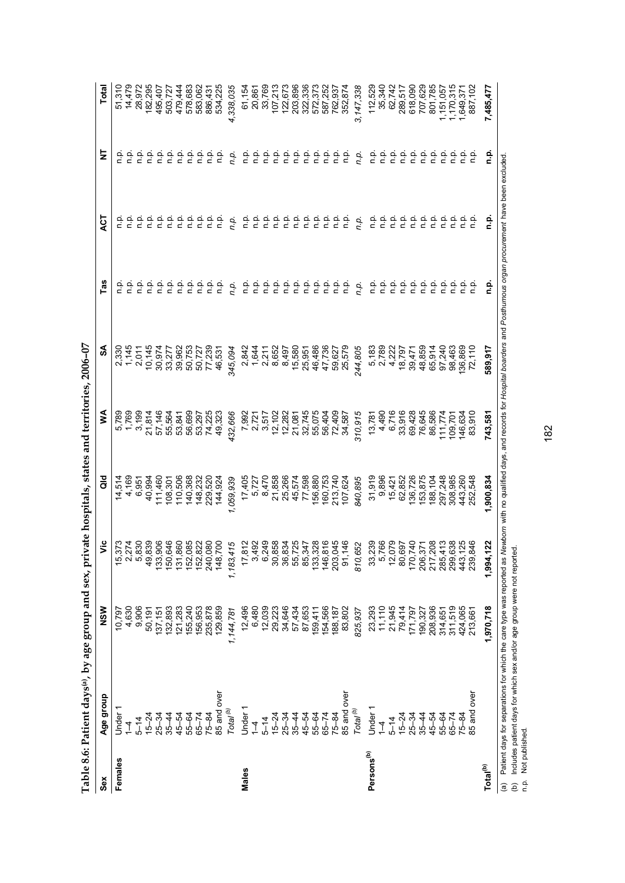| Sex                    | Age group                | NSW                  | δ                                                                                             | aio                | ⋚                          | వ                | Tas                                                                                                                         | <b>LO</b>                                                 | 늧                     | Total                                    |
|------------------------|--------------------------|----------------------|-----------------------------------------------------------------------------------------------|--------------------|----------------------------|------------------|-----------------------------------------------------------------------------------------------------------------------------|-----------------------------------------------------------|-----------------------|------------------------------------------|
| Females                | Under                    | 10,797               | $\begin{array}{c} 15,373 \\ 2,274 \\ 5,830 \end{array}$                                       | 14,514             | 5,789                      | 2,330            | άu                                                                                                                          |                                                           |                       | 51,310                                   |
|                        | $\overset{+}{\lrcorner}$ | 4,630                |                                                                                               | 4,169              | 1,769                      | 1,145            | άυ                                                                                                                          | p.<br>D                                                   | ن<br>ء                | 14,479                                   |
|                        | $5 - 14$                 | 9,906                |                                                                                               | 6,951              | 3,199                      | 2,011            | n.p.                                                                                                                        | ن<br>P                                                    | n p.                  | 28,972                                   |
|                        | $15 - 24$                | 50,191               |                                                                                               | 40,994             | 21,814                     | 10,145           | n p.                                                                                                                        | n.p                                                       | ن<br>ء                | 182,295                                  |
|                        | $25 - 34$                | 137, 151             | 49,839<br>133,906                                                                             | 111,460            |                            | 30,974           | ن<br>E                                                                                                                      | n.p                                                       | ن<br>ء                | 495,407                                  |
|                        | $35 - 44$                | 132,893              | 150,646                                                                                       | 108,301            | 57,146<br>55,564           | 33,277           | ن<br>P                                                                                                                      | م<br>م                                                    | n.p.                  | 503,727                                  |
|                        | 45-54                    | 121,283              | 131,860<br>152,085<br>152,822                                                                 | 110,506            | 53,841                     | 39,962           | $\frac{a}{c}$                                                                                                               | م.<br>¤                                                   | n.<br>E               | 479,444                                  |
|                        | 55-64                    | 155,240              |                                                                                               | 140,368            | 56,699                     |                  | ن<br>E                                                                                                                      |                                                           | n.p.                  | 578,683                                  |
|                        | $65 - 74$                | 156,953              |                                                                                               | 148,232            | 53,297                     | 50,753<br>50,727 | n p.                                                                                                                        | ن في<br>د د                                               | ρ.<br>Γ               | 583,062                                  |
|                        | $75 - 84$                | 235,878              |                                                                                               | 229,520            | 74,225                     | 77,239           | o.<br>P                                                                                                                     |                                                           | n.p.                  | 886,431                                  |
|                        | 85 and over              | 129,859              | 240,080<br>148,700                                                                            | 144,924            | 49,323                     | 46,531           | a<br>E                                                                                                                      | $\frac{1}{2}$                                             | n.p                   | 534,225                                  |
|                        | Total <sup>(b)</sup>     | 1,144,781            | 1,183,415                                                                                     | 1,059,939          | 432,666                    | 345,094          | n.p.                                                                                                                        | n.p.                                                      | n.p.                  | 4,338,035                                |
| Males                  | Under <sup>-</sup>       | 12,496               |                                                                                               | 17,405             | 7,992                      | 2,842            | ن<br>ء                                                                                                                      | n.p.                                                      | n p.                  | 61,154                                   |
|                        | 1                        | 6,480                |                                                                                               | 5,727              | 2,721                      | 1,644            | n.p.                                                                                                                        | n.p                                                       | n.<br>E               | 20,861                                   |
|                        | $5 - 14$                 | 12,039               | $17,812$<br>3,492<br>6,249                                                                    | 8,470              | 3,517                      | 2,211            | ρ.<br>Γ                                                                                                                     | ن<br>ء                                                    | n.p.                  | 33,769                                   |
|                        | $15 - 24$                | 29,223               |                                                                                               | 21,858             |                            | 8,652            |                                                                                                                             |                                                           | n.p.                  |                                          |
|                        | $25 - 34$                | 34,646               |                                                                                               | 25,266             | 12, 102<br>12, 282         | 8,497            | ن في<br>د د                                                                                                                 | 음 등                                                       |                       | 107,213<br>122,673                       |
|                        | $35 - 44$                | 57,434               |                                                                                               | 45,574             | 21,081                     | 15,580           | في                                                                                                                          | ېم                                                        | ن في<br>في            | 203,896                                  |
|                        | 45-54                    | 87,653               |                                                                                               | 77,598             |                            | 25,951           |                                                                                                                             |                                                           | ρ.<br>Γ               | 322,336                                  |
|                        | 55-64                    | 159,411              | 30,858<br>36,834<br>36,8725<br>36,8728<br>46,8728<br>46,874                                   | 156,880            | 32,745<br>55,075<br>56,404 | 46,486           | $\begin{array}{ccc}\n 2 & 2 & 2 \\  3 & 2 & 3\n \end{array}$                                                                |                                                           | n.p.                  | 572,373<br>587,252<br>762,937<br>352,874 |
|                        | $65 - 74$                | 154,566              |                                                                                               | 160,753<br>213,740 |                            | 47,736           |                                                                                                                             |                                                           | م<br>a                |                                          |
|                        | $75 - 84$                | 188,187              | 203,045<br>91,146                                                                             |                    | 72,409                     | 59,627           | ن في<br>د د                                                                                                                 |                                                           | n p.                  |                                          |
|                        | 85 and over              | 83,802               |                                                                                               | 107,624            | 34,587                     | 25,579           |                                                                                                                             |                                                           | n p                   |                                          |
|                        | Total <sup>(b)</sup>     | 825,937              | 810,652                                                                                       | 840,895            | 310,915                    | 244,805          | n.p.                                                                                                                        | n.p.                                                      | n.p.                  | 3, 147, 338                              |
| Persons <sup>(b)</sup> | Under                    | 23,293               | 33,239                                                                                        | 31,919             | 13,781                     | 5,183            | n p.                                                                                                                        | n.p.                                                      | n p.                  | 112,529                                  |
|                        | 1                        | $11,110$<br>$21,945$ |                                                                                               | 9,896              | 4,490                      | 2,789            | ف<br>E                                                                                                                      | ف<br>ء                                                    | n p.                  | 35,340                                   |
|                        | $5 - 14$                 |                      | 5,766<br>12,079                                                                               | 15,421             | 6,716                      | 4,222            | ف ہ                                                                                                                         | ف<br>م                                                    | $\frac{\alpha}{\Box}$ | 62,742                                   |
|                        | $15 - 24$                | 79,414               | 80,697                                                                                        | 62,852             | 33,916                     | 18,797           |                                                                                                                             |                                                           | ρ.<br>Γ               | 289,517                                  |
|                        | $25 - 34$                | 171,797              |                                                                                               | 136,726            | 69,428                     | 39,471           |                                                                                                                             |                                                           | n p.                  | 618,090                                  |
|                        | $35 - 44$                | 190,327              | $\begin{array}{c} 170,740 \\ 206,371 \\ 217,208 \\ 217,208 \\ 285,413 \\ 299,638 \end{array}$ | 153,875            | 76,645                     | 48,859           | $\begin{array}{ccc}\n\dot{\alpha} & \dot{\alpha} & \dot{\alpha} \\ \dot{\alpha} & \dot{\alpha} & \dot{\alpha}\n\end{array}$ | $\begin{array}{ccc}\n0 & 0 & 0 \\ 0 & 0 & 0\n\end{array}$ | م.<br>P               | 707,629                                  |
|                        | 45-54                    | 208,936              |                                                                                               | 188,104            | 86,586                     | 65,914           | $\frac{a}{c}$                                                                                                               | n.p.                                                      | $\frac{\alpha}{\Box}$ | 801,785                                  |
|                        | 55-64                    | 314,651              |                                                                                               | 297,248            | 11,774                     | 97,240           | ن<br>ء                                                                                                                      | n p.                                                      | n p.                  | ,151,057                                 |
|                        | $65 - 74$                | 311,519              |                                                                                               | 308,985            | 109,701                    | 98,463           | n.p.                                                                                                                        | ن<br>ء                                                    | ρ.<br>Γ               | 1,170,315                                |
|                        | $75 - 84$                | 424,065              | 443,125<br>239,846                                                                            | 443,260            | 146,634                    | 136,869          | ن<br>ء                                                                                                                      | n p.                                                      | n.p.                  | 1,649,37                                 |
|                        | 85 and over              | 213,661              |                                                                                               | 252,548            | 83,910                     | 72,110           | n.p                                                                                                                         | ف<br>1                                                    |                       | 887,102                                  |
| Total <sup>(b)</sup>   |                          | 1,970,718            | 1,994,122                                                                                     | 1,900,834          | 743,581                    | 589,917          | ءِ<br>ء                                                                                                                     | ءِ<br>ت                                                   | ءِ<br>ء               | 7,485,477                                |

182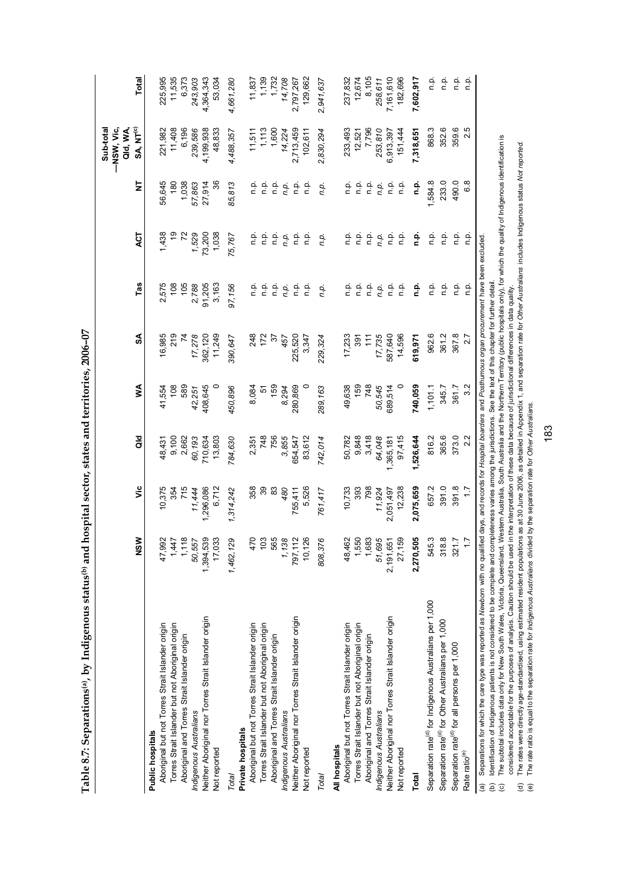| ----            |
|-----------------|
|                 |
|                 |
|                 |
|                 |
|                 |
| w crates and to |
|                 |
|                 |
|                 |
|                 |
|                 |
|                 |
|                 |
|                 |
| י<br>י          |
|                 |
| l<br>l          |
|                 |
|                 |
|                 |
| an u um         |
|                 |
|                 |
|                 |
|                 |
|                 |
|                 |
|                 |
|                 |
|                 |
|                 |
| i<br>;<br>;     |
|                 |
|                 |
|                 |
|                 |
|                 |
| くちもく            |
| l               |
|                 |
| l               |
| こうこう ロレ         |
|                 |
|                 |
|                 |
| 1               |

|                                                                                                                                                                                            |                                                             |                |                |         |                |         |                |               | —NSW, Vic,<br>Qld, WA,<br>Sub-total |                    |
|--------------------------------------------------------------------------------------------------------------------------------------------------------------------------------------------|-------------------------------------------------------------|----------------|----------------|---------|----------------|---------|----------------|---------------|-------------------------------------|--------------------|
|                                                                                                                                                                                            | NSW                                                         | ۶Ë             | as<br>o        | ≸       | SA             | Tas     | <b>ACT</b>     | ż             | SA, NT <sup>(c)</sup>               | <b>Total</b>       |
| Public hospitals                                                                                                                                                                           |                                                             |                |                |         |                |         |                |               |                                     |                    |
| Aboriginal but not Torres Strait Islander origin                                                                                                                                           | 47,992                                                      | 10,375         | 48,431         | 41,554  | 16,985         | 2,575   | 1,438          | 56,645        | 221,982                             | 225,995            |
| Torres Strait Islander but not Aboriginal origin                                                                                                                                           | 1,447                                                       |                |                | 108     | 219            | 108     |                | 180           | 11,408                              | 11,535             |
| Aboriginal and Torres Strait Islander origin                                                                                                                                               | 1,118                                                       | 354<br>715     | 9,100<br>2,662 | 589     | $\overline{7}$ | 105     | $\overline{z}$ | 1,038         | 6,196                               | 6,373              |
| Indigenous Australians                                                                                                                                                                     | 50,557                                                      | 11,444         | 60,193         | 42,251  | 17,278         | 2,788   | 1,529          | 57,863        | 239,586                             | 243,903            |
| Neither Aboriginal nor Torres Strait Islander origin                                                                                                                                       | 1,394,539                                                   | ,296,086       | 710,634        | 408,645 | 362,120        | 91,205  | 73,200         | 27,914        | 4,199,938                           | 4,364,343          |
| Not reported                                                                                                                                                                               | 17,033                                                      | 6,712          | 13,803         |         | 11,249         | 3,163   | 1,038          | 36            | 48,833                              | 53,034             |
| Total                                                                                                                                                                                      | 1,462,129                                                   | 1,314,242      | 784,630        | 450,896 | 390,647        | 97,156  | 75,767         | 85,813        | 4,488,357                           | 4,661,280          |
| Private hospitals                                                                                                                                                                          |                                                             |                |                |         |                |         |                |               |                                     |                    |
| Aboriginal but not Torres Strait Islander origin                                                                                                                                           | 470                                                         | 358            | 2,351          | 8,084   | 248            | n.p.    | n.p.           | ρ.<br>Γ       |                                     | 11,837             |
| Torres Strait Islander but not Aboriginal origin                                                                                                                                           | 103                                                         | వి             |                | 5       | 172            | نې<br>¤ |                |               | $11,511$<br>$1,113$                 |                    |
| Aboriginal and Torres Strait Islander origin                                                                                                                                               | 565                                                         | 83             | 748<br>756     | 159     | $\mathcal{E}$  | ف<br>م  | 후 후            |               | 1,600                               | $1,139$<br>$1,732$ |
| Indigenous Australians                                                                                                                                                                     | 1,138                                                       | 480            | 3,855          | 8,294   | 457            | n.p.    | n.p.           |               | 14,224                              | 14,708             |
| Neither Aboriginal nor Torres Strait Islander origin                                                                                                                                       | 797,112                                                     | 755,411        | 654,547        | 280,869 | 225,520        | ف<br>م  | ف<br>1         |               | 2,713,459                           | 2,797,267          |
| Not reported                                                                                                                                                                               | 10,126                                                      | 5,526          | 83,612         |         | 3,347          | n.p.    | ن<br>a         | م<br>a        | 102,611                             | 129,662            |
| Total                                                                                                                                                                                      | 808,376                                                     | 761,417        | 742,014        | 289,163 | 229,324        | n.p.    | n.p.           | n.p.          | 2,830,294                           | 2,941,637          |
| All hospitals                                                                                                                                                                              |                                                             |                |                |         |                |         |                |               |                                     |                    |
| Aboriginal but not Torres Strait Islander origin                                                                                                                                           | 48,462                                                      | 10,733         | 50,782         | 49,638  | 17,233         | ρ.<br>Γ | ρ.<br>Γ        | ۹.            | 233,493                             | 237,832            |
| Torres Strait Islander but not Aboriginal origin                                                                                                                                           | 1,550                                                       |                | 9,848          | 159     | 391            | غ<br>c  |                |               | 12,521                              | 12,674             |
| Aboriginal and Torres Strait Islander origin                                                                                                                                               |                                                             | 39<br>798      | 3,418          | 748     | 11             | n.p.    | 후 후<br>후 후     | 흐 흐<br>ㄷ ㄷ    | 7,796                               | 8,105              |
| Indigenous Australians                                                                                                                                                                     | $\begin{array}{c} 1,683 \\ 51,695 \\ 2,191,651 \end{array}$ | 11,924         | 64,048         | 50,545  | 17,735         | n.p.    | n.p.           | n.p.          | 253,810                             | 258,611            |
| Neither Aboriginal nor Torres Strait Islander origin                                                                                                                                       |                                                             | 2,051,497      | 1,365,181      | 689,514 | 587,640        | n p.    | n.p.           | ن<br>ء        | 6,913,397                           | 7,161,610          |
| Not reported                                                                                                                                                                               | 27,159                                                      | 12,238         | 97,415         |         | 14,596         | n.p.    | ن<br>ء         | ءِ<br>ء       | 151,444                             | 182,696            |
| Total                                                                                                                                                                                      | 2,270,505                                                   | 2,075,659      | 1,526,644      | 740,059 | 619,971        | n.p.    | n.p.           | ءِ<br>ء       | 7,318,651                           | 7,602,917          |
| Separation rate <sup>(d)</sup> for Indigenous Australians per 1,000                                                                                                                        | 545.3                                                       | 657.2          | 816.2          | 1,101.1 | 962.6          | n p.    | ۹.             | 1,584.8       | 868.3                               | م.<br>E            |
| Separation rate <sup>(d)</sup> for Other Australians per 1,000                                                                                                                             | 318.8                                                       | 391.0          | 365.6          | 345.7   | 361.2          | n.p.    | n.p.           | 233.0         | 352.6                               | n.p.               |
| Separation rate <sup>(d)</sup> for all persons per 1,000                                                                                                                                   | 321.7                                                       | 391.8          | 373.0          | 361.7   | 367.8          | n p.    | ن<br>ء         | 490.0         | 359.6                               | ف<br>ء             |
| Rate ratio <sup>(e)</sup>                                                                                                                                                                  | ₽                                                           | $\overline{1}$ | 2.2            | 3.2     | 2.7            | n.p.    | نې<br>D        | $\frac{8}{6}$ | Ю<br>N                              | n.p.               |
| Separations for which the care type was reported as Newborn with no qualified days, and records for Hospital boarders and Posthumous organ procurement have been excluded<br>$\widehat{a}$ |                                                             |                |                |         |                |         |                |               |                                     |                    |

(b) Identification of Indigenous patients is not considered to be complete and completeness varies among the jurisdictions. See the text of this chapter for further detail.

ldentification of Indigenous patients is not considered to be complete and completeness varies among the jurisdictions. See the text of this chapter for further detail.<br>The subtotal includes data only for New South Wales (c) The subtotal includes data only for New South Wales, Victoria, Queensland, Western Australia, South Australia and the Northern Territory (public hospitals only), for which the quality of Indigenous identification is considered acceptable for the purposes of analysis. Caution should be used in the interpretation of these data because of jurisdictional differences in data quality.  $\widehat{e}$ 

considered acceptable for the purposes of analysis. Caution should be used in the interpretation of these data because of jurisdictional differences in data quality.<br>The rates were directly age-standardised, using estimate (d) The rates were directly age-standardised, using estimated resident populations as at 30 June 2006, as detailed in Appendix 1, and separation rate for Other Australians includes Indigenous status Not reported.  $\widehat{\sigma}$ 

(e) The rate ratio is equal to the separation rate for *Indigenous Australians* divided by the separation rate for *Other Australians.*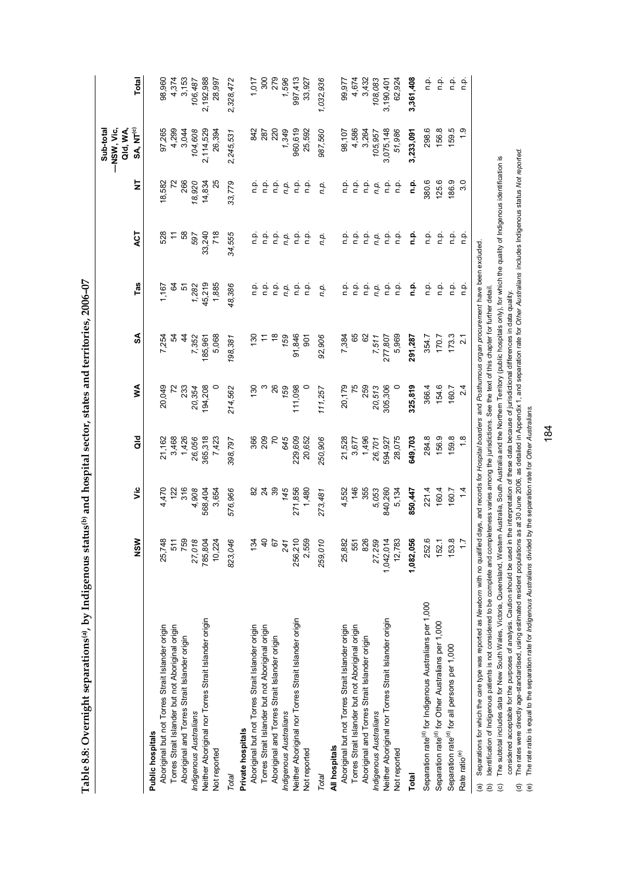Table 8.8: Overnight separations<sup>(a)</sup>, by Indigenous status<sup>(b)</sup> and hospital sector, states and territories, 2006-07 **Table 8.8: Overnight separations(a), by Indigenous status(b) and hospital sector, states and territories, 2006–07** 

|                                                                                                                                                                                              |                 |                 |                |               |                   |         |               |               | -NSW, Vic,<br>Qld, WA,<br>Sub-total |                |
|----------------------------------------------------------------------------------------------------------------------------------------------------------------------------------------------|-----------------|-----------------|----------------|---------------|-------------------|---------|---------------|---------------|-------------------------------------|----------------|
|                                                                                                                                                                                              | NSM             | ۶Ë              | as<br>G        | ≸             | SA                | Tas     | <b>ACT</b>    | Ż             | SA, NT <sup>(c)</sup>               | Total          |
| Public hospitals                                                                                                                                                                             |                 |                 |                |               |                   |         |               |               |                                     |                |
| Aboriginal but not Torres Strait Islander origin                                                                                                                                             | 25,748          | 4,470           | 21,162         | 20,049        | 7,254             | 1,167   | 528           | 18,582        | 97,265                              | 98,960         |
| Torres Strait Islander but not Aboriginal origin                                                                                                                                             | 511             | 122             | 3,468          | $\mathcal{L}$ | 5                 |         |               | $\mathcal{L}$ | 4,299                               | 4,374          |
| Aboriginal and Torres Strait Islander origin                                                                                                                                                 | 759             | 316             | 1,426          | 233           | $\ddot{4}$        | ე<br>გე | $\frac{1}{2}$ | 266           | 3,044                               | 3,153          |
| Indigenous Australians                                                                                                                                                                       | 27,018          | 4,908           | 26,056         | 20,354        | 7,352             | 1,282   | 597           | 18,920        | 104,608                             | 106,487        |
| Neither Aboriginal nor Torres Strait Islander origin                                                                                                                                         | 785,804         | 568,404         | 365,318        | 194,208       | 185,961           | 45,219  | 33,240        | 14,834        | 2,114,529                           | 2,192,988      |
| Not reported                                                                                                                                                                                 | 10,224          | 3,654           | 7,423          |               | 5,068             | 1,885   | 718           | 25            | 26,394                              | 28,997         |
| Total                                                                                                                                                                                        | 823,04E         | 576,966         | 398,797        | 214,562       | 198,381           | 48,386  | 34,555        | 33,779        | 2,245,531                           | 2,328,472      |
| Private hospitals                                                                                                                                                                            |                 |                 |                |               |                   |         |               |               |                                     |                |
| Aboriginal but not Torres Strait Islander origin                                                                                                                                             | 134             | 82              | 366            | 130           | 130               | n.p.    | n.p.          | n.p.          | 842                                 | 1,017          |
| Torres Strait Islander but not Aboriginal origin                                                                                                                                             | $\triangleq$    | $\overline{24}$ | 209            |               |                   | n.p.    | n.p.          | ۹.            | 287                                 | 300            |
| Aboriginal and Torres Strait Islander origin                                                                                                                                                 | $\tilde{\circ}$ | 39              | $\overline{z}$ | 26            | $\frac{8}{3}$     | ف<br>م  | ف۔<br>p       | p.<br>C       | 220                                 | 279            |
| Indigenous Australians                                                                                                                                                                       | 241             | 145             | 645            | 159           | 159               | n.p.    | n.p.          | n.p.          | 1,349                               | 1,596          |
| Neither Aboriginal nor Torres Strait Islander origin                                                                                                                                         | 256,210         | 271,856         | 229,609        | 111,098       | 91,846            | q.      | n.p.          | م<br>ء        | 960,619                             | 997,413        |
| Not reported                                                                                                                                                                                 | 2,559           | 1,480           | 20,652         |               | 507               | n.p.    | n.p.          | غ             | 25,592                              | 33,927         |
| Total                                                                                                                                                                                        | 259,010         | 273,481         | 250,906        | 111,257       | 92,906            | n.p.    | n.p.          | n.p.          | 987,560                             | 1,032,936      |
| All hospitals                                                                                                                                                                                |                 |                 |                |               |                   |         |               |               |                                     |                |
| Aboriginal but not Torres Strait Islander origin                                                                                                                                             | 25,882          | 4,552           | 21,528         | 20,179        | 7,384             | n.p.    | n.p.          | n.p.          | 98,107                              | 99,977         |
| Torres Strait Islander but not Aboriginal origin                                                                                                                                             | 551             | 146             | 3,677          | 75            | 65                | n.p.    | n.p.          |               |                                     | 4,674<br>3,432 |
| Aboriginal and Torres Strait Islander origin                                                                                                                                                 | 826             | 355             | 1,496          | 259           | 8                 | ف<br>م  | ؋             | ن في<br>م     | 4,586<br>3,264                      |                |
| Indigenous Australians                                                                                                                                                                       | 27,259          | 5,053           | 26,701         | 20,513        | 7,511             | n.p.    | n.p.          | n.p.          | 105,957                             | 108,083        |
| Neither Aboriginal nor Torres Strait Islander origin                                                                                                                                         | 1,042,014       | 840,260         | 594,927        | 305,306       | 277,807           | n.p.    | n.p.          | n.p.          | 3,075,148                           | 3,190,401      |
| Not reported                                                                                                                                                                                 | 12,783          | 5,134           | 28,075         |               | 5,969             | n.p.    | ف<br>ء        | م.<br>n       | 51,986                              | 62,924         |
| Total                                                                                                                                                                                        | 1,082,056       | 850,447         | 649,703        | 325,819       | 291,287           | n.p.    | n.p.          | ف<br>غ        | 3,233,091                           | 3,361,408      |
| Separation rate <sup>(d)</sup> for Indigenous Australians per 1,000                                                                                                                          | 252.6           | 221.4           | 284.8          | 366.4         | 354.7             | n.p.    | n.p.          | 380.6         | 298.6                               | ۹.<br>ב        |
| Separation rate <sup>(d)</sup> for Other Australians per 1,000                                                                                                                               | 152.1           | 160.4           | 156.9          | 154.6         | 170.7             | n.p.    | n.p.          | 125.6         | 156.8                               | ۹.             |
| Separation rate <sup>(d)</sup> for all persons per 1,000                                                                                                                                     | 153.8           | 160.7           | 159.8          | 160.7         | 173.3             | م.<br>P | n.p.          | 186.9         | 159.5                               | n.p.           |
| Rate ratio <sup>(e)</sup>                                                                                                                                                                    | $\ddot{ }$      | 14              | 1.8            | 2.4           | $\overline{2}$ .1 | n.p.    | n.p.          | 3.0           | $\frac{0}{1}$                       | n.p.           |
| Separations for which the care type was reported as Newborn with no qualified days, and records for Hospital boarders and Posthurnous organ procurement have been excluded.<br>$\widehat{a}$ |                 |                 |                |               |                   |         |               |               |                                     |                |

ldentification of Indigenous patients is not considered to be complete and completeness varies among the jurisdictions. See the text of this chapter for further detail. (b) Identification of Indigenous patients is not considered to be complete and completeness varies among the jurisdictions. See the text of this chapter for further detail.

The subtotal includes data for New South Wales, Victoria, Queensland, Western Australia, South Australia and the Northern Territory (public hospitals only), for which the quality of Indigenous identification is (c) The subtotal includes data for New South Wales, Victoria, Queensland, Western Australia, South Australia and the Northern Territory (public hospitals only), for which the quality of Indigenous identification is considered acceptable for the purposes of analysis. Caution should be used in the interpretation of these data because of jurisdictional differences in data quality.  $\widehat{e}$ 

(d) The rates were directly age-standardised, using estimated resident populations as at 30 June 2006, as detailed in Appendix 1, and separation rate for Other Australians includes Indigenous status Not reported. considered acceptable for the purposes of analysis. Caution should be used in the interpretation of these data because of jurisdictional differences in data quality.<br>The rates were directly age-standardised, using estimate  $\widehat{\sigma}$   $\widehat{\sigma}$ 

The rate ratio is equal to the separation rate for Indigenous Australians divided by the separation rate for Other Australians. (e) The rate ratio is equal to the separation rate for *Indigenous Australians* divided by the separation rate for *Other Australians.*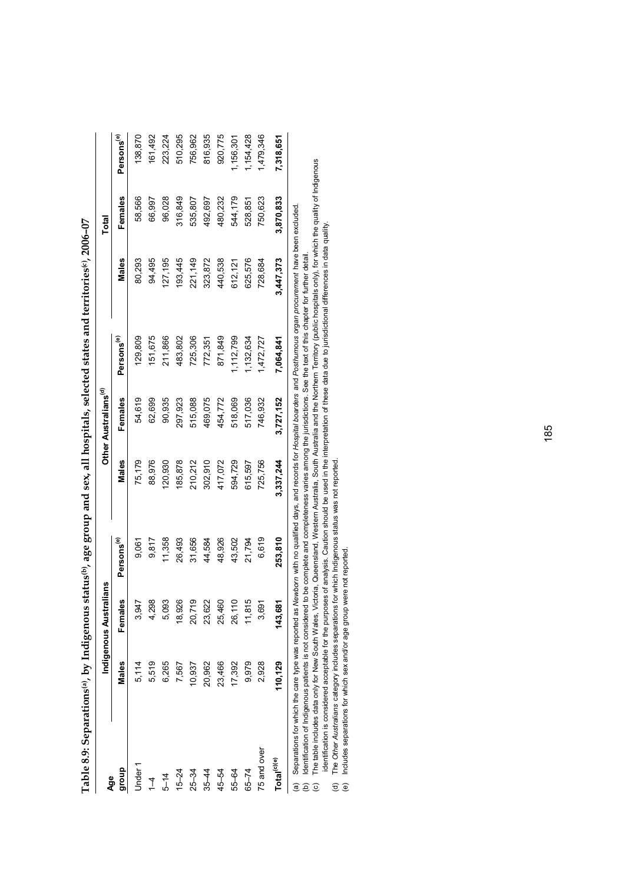| Age                     |            | Indigenous Australians |                        |                      | Other Australians <sup>(d)</sup> |                        |           | Total                |                        |
|-------------------------|------------|------------------------|------------------------|----------------------|----------------------------------|------------------------|-----------|----------------------|------------------------|
| dho.fo                  | Males      | Females                | Persons <sup>(e)</sup> | Males                | Females                          | Persons <sup>(e)</sup> | Males     | Females              | Persons <sup>(e)</sup> |
| Under 1                 | 5,114      | 3,947                  | 9,061                  | 75,179               | 54,619                           | 129,809                | 80,293    | 58,566               | 138,870                |
| $\overline{1}$          | 5,519      | 4,298                  | 9,817                  | 88,976               | 62,699                           | 151,675                | 94,495    | 66,997               | 161,492                |
| $5 - 14$                | 6,265      | 5,093                  | 11,358                 | 120,930              | 90,935                           | 211,866                | 27,195    | 96,028               | 223,224                |
| $15 - 24$               | 7,567      | 18,926                 | 26,493                 | 85,878               | 297,923                          | 483,802                | 93,445    | 316,849              | 510,295                |
| $25 - 34$               | 10,937     | 20,719                 | 31,656                 | 210,212              | 515,088                          | 725,306                | 221,149   | 535,807              | 756,962                |
| $35 - 44$               | 20,962     | 23,622                 | 44,584                 | 302,910              | 469,075                          | 772,351                | 323,872   | 492,697              | 816,935                |
| 45-54                   | 23,466     | 25,460                 | 48,926                 | 417,072              | 454,772                          | 871,849                | 440,538   | 480,232              | 920,775                |
| 55-64                   | 17,392     | 26,110                 | 43,502                 | 594,729              | 518,069                          | ,112,799               | 612,121   | 544,179              | 1,156,301              |
| $65 - 74$               | 9,979      | 11,815                 | 21,794                 | 615,597              | 517,036                          | 1,132,634              | 625,576   | 528,851              | 1,154,428              |
| 75 and over             | 2,928      | 3,691                  | 6,619                  | 725,756              | 746,932                          | 1,472,727              | 728,684   | 750,623              | ,479,346               |
| Total <sup>(c)(e)</sup> | 110,129    | 143,681                | 253,810                | 3,337,244            | 3,727,152                        | 7,064,841              | 3,447,373 | 3,870,833            | 7,318,651              |
|                         | $\ddot{ }$ | $\ddot{a}$             |                        | $\ddot{\phantom{a}}$ | $\ddot{\cdot}$                   | $\ddot{ }$             |           | $\ddot{\phantom{a}}$ |                        |

| $\frac{1}{2}$<br>$\ddot{\phantom{a}}$ |
|---------------------------------------|
|                                       |
|                                       |
|                                       |
|                                       |
|                                       |
|                                       |
|                                       |
|                                       |
|                                       |
|                                       |
|                                       |
|                                       |
|                                       |
|                                       |
| l                                     |
|                                       |
| $\overline{a}$                        |
|                                       |
|                                       |
|                                       |
| しょう こうりょう うちょう うちょうそう                 |
| ı                                     |
|                                       |
| ו<br>ו                                |
|                                       |
|                                       |
|                                       |
|                                       |
|                                       |
|                                       |
|                                       |
|                                       |
| <br> <br>                             |
|                                       |
|                                       |
| l                                     |
|                                       |
| í                                     |
| ֘֝֕<br>j<br>I                         |
|                                       |
|                                       |
| ׇ֚֘֡                                  |
| ׇׅ֘֝֬                                 |

Separations for which the care type was reported as Newborn with no qualified days, and records for Hospital boarders and Posthurnous organ procurement have been excluded.<br>Identification of Indigenous patients is not consi (a) Separations for which the care type was reported as *Newborn* with no qualified days, and records for *Hospital boarders* and *Posthumous organ procurement* have been excluded.

(b) Identification of Indigenous patients is not considered to be complete and completeness varies among the jurisdictions. See the text of this chapter for further detail.  $\widehat{\mathbb{E}}\ \widehat{\mathbb{E}}\ \widehat{\mathbb{C}}$ 

The table includes data only for New South Wales, Victoria, Queensland, Western Australia, South Australia and the Northern Territory (public hospitals only), for which the quality of Indigenous<br>identification is considere (c) The table includes data only for New South Wales, Victoria, Queensland, Western Australia, South Australia and the Northern Territory (public hospitals only), for which the quality of Indigenous identification is considered acceptable for the purposes of analysis. Caution should be used in the interpretation of these data due to jurisdictional differences in data quality.

The Other Australians category includes separations for which Indigenous status was not reported. (d) The *Other Australians* category includes separations for which Indigenous status was not reported.  $\widehat{\sigma}$ 

Includes separations for which sex and/or age group were not reported. (e) Includes separations for which sex and/or age group were not reported.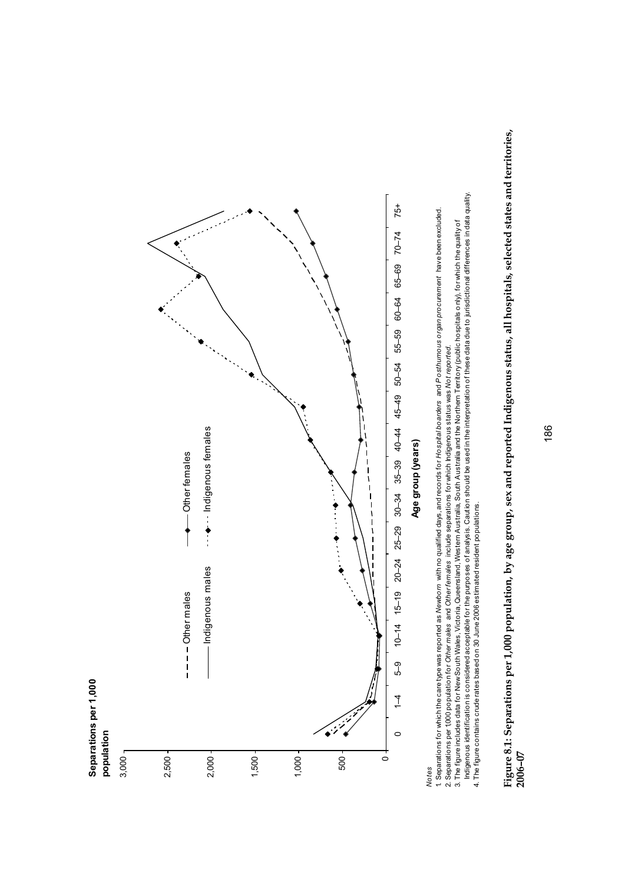

**Separations per 1,000** 

Separations per 1,000

Figure 8.1: Separations per 1,000 population, by age group, sex and reported Indigenous status, all hospitals, selected states and territories,<br>2006-07 **Figure 8.1: Separations per 1,000 population, by age group, sex and reported Indigenous status, all hospitals, selected states and territories, 2006–07** 

*Notes*

<sup>1.</sup> Separations for which the care type was reported as Newborn with no qualified days, and records for Hospital boarders and Posthumous organ procurement have been excluded. 1. Separations for which the care type was reported as *Newborn* with no qualified days, and records for *Hospital boarders* and *Posthumous organ procurement* have been excluded.

<sup>2.</sup> Separations per 1000 population for Other males and Other females include separations for which Indigenous status was Not reported. 2. Separations per 1,000 population for *Other males* and *Other females* include separations for which Indigenous status was *Not reported.*

<sup>3.</sup> The figure includes data for New South Wales, Victoria, Queensland, Western Australia, South Australia and the Northern Territory (public hospitals only), for which the quality of<br>Indigenous identification is considered Indigenous identification is considered acceptable for the purposes of analysis. Caution should be used in the interpretation of these data due to jurisdictional differences in data quality. 3. The figure includes data for New South Wales, Victoria, Queensland, Western Australia, South Australia and the Northern Territory (public hospitals only), for which the quality of

<sup>4.</sup> The figure contains crude rates based on 30 June 2006 estimated resident populations. 4. The figure contains crude rates based on 30 June 2006 estimated resident populations.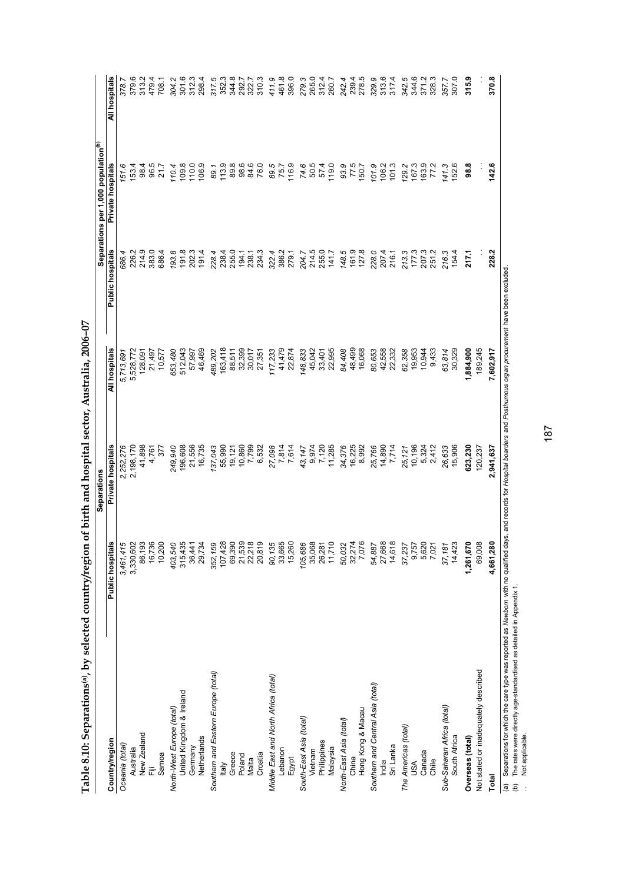|                                      |                  | Separations       |               |                         | Separations per 1,000 population <sup>(b)</sup> |                |
|--------------------------------------|------------------|-------------------|---------------|-------------------------|-------------------------------------------------|----------------|
| Country/region                       | Public hospitals | Private hospitals | All hospitals | <b>Public hospitals</b> | Private hospitals                               | All hospitals  |
| Oceania (total)                      | 3,461,415        | 2,252,276         | 5,713,691     | 686.4                   | 151.6                                           | 378.7          |
| Australia                            | 3,330,602        | 2,198,170         | 5,528,772     | 226.2                   | 153.4                                           | 379.6          |
| New Zealand                          | 86,193           | 41,898            | 128,091       | 214.9                   | 98.4                                            | 313.2          |
| Ë                                    | 16,736           | 4,761             | 21,497        | 383.0                   | 96.5                                            | 479.4          |
| Samoa                                | 10,200           | 377               | 10,577        | 686.4                   | 21.7                                            | 708.1          |
| North-West Europe (total)            | 403,540          | 249,940           | 653,480       | 193.8                   | 110.4                                           | 304.2          |
| United Kingdom & Ireland             | 315,435          | 196,608           | 512,043       | 191.8                   | 109.8                                           | 301.6          |
| Germany                              | 36,441           | 21,556            | 57,997        | 202.3                   | 110.0                                           | 312.3<br>298.4 |
| Netherlands                          | 29,734           | 16,735            | 46,469        | 191.4                   | 106.9                                           |                |
| Southern and Eastern Europe (total)  | 352,159          | 137,043           | 489,202       | 228.4                   | 89.1                                            | 317.5<br>352.3 |
| <b>Italy</b>                         | 107,428          | 55,990            | 163,418       | 238.4                   | 113.9                                           |                |
| Greece                               | 69,390           | 19,121            | 88,511        | 255.0<br>194.1<br>238.1 | 89.8                                            | 344.8          |
| Poland                               | 21,539<br>22,218 | 10,860            | 32,399        |                         | 98.6<br>98.0<br>76.0                            | 292.7<br>322.7 |
| Malta                                |                  | 7,799             | 30,017        |                         |                                                 |                |
| Croatia                              | 20,819           | 6,532             | 27,351        | 234.3                   |                                                 | 310.3          |
| Middle East and North Africa (total) | 90,135           | 27,098            | 117,233       | 322.4                   | 89.5                                            | 411.9          |
| Lebanon                              | 33,665           | 7,814<br>7,614    | 41,479        | 386.2                   | 75.7                                            | 461.8          |
| Egypt                                | 15,260           |                   | 22,874        | 279.1                   | 116.9                                           | 396.0          |
| South-East Asia (total)              | 105,686          | 43,147            | 148,833       | 204.7                   | 74.6                                            | 279.3          |
| Vietnam                              | 35,068           | 9,974             | 45,042        | 214.5<br>255.0          | 50.5<br>57.4                                    | 265.0<br>312.4 |
| Philippines                          | 26,281           | 7,120             | 33,401        |                         |                                                 |                |
| Malaysia                             | 11,710           | 11,285            | 22,995        | 141.7                   | 119.0                                           | 260.7          |
| North-East Asia (total)              | 50,032           | 34,376            | 84,408        | 148.5                   | 93.9                                            | 242.4          |
| China                                | 32,274           | 16,225            | 48,499        | 161.9                   |                                                 |                |
| Hong Kong & Macau                    | 7,076            | 8,992             | 16,068        |                         | 77.5<br>150.7                                   | 239.4<br>278.5 |
| Southern and Central Asia (total)    | 54,887           | 25,766            | 80,653        | 228.0                   | 101.9                                           | 329.9          |
| India                                | 27,668           | 14,890            | 42,558        | 207.4                   | 106.2                                           | 313.6          |
| Sri Lanka                            | 14,618           | 7,714             | 22,332        | 216.1                   | 101.3                                           | 317.4          |
| The Americas (total)                 | 37,237           | 25,121            | 62,358        | 213.3                   | 129.2                                           | 342.5          |
| USA                                  | 9,757            | 10,196            | 19,953        | 177.3                   | 167.3                                           | 344.6          |
| Canada                               | 5,620            | 5,324             | 10,944        | 207.3                   | 163.9                                           | 371.2          |
| Chile                                | 7,021            | 2,412             | 9,433         | 251.2                   | 77.2                                            | 328.3          |
| Sub-Saharan Africa (total)           | 37,181           | 26,633            | 63,814        | 216.3                   | 141.3                                           | 357.7          |
| South Africa                         | 14,423           | 15,906            | 30,329        | 154.4                   | 152.6                                           | 307.0          |
| Overseas (total)                     | 1,261,670        | 623,230           | 1,884,900     | 217.1                   | <b>98.8</b>                                     | 315.9          |
| Not stated or inadequately described | 69,008           | 120,237           | 189,245       |                         |                                                 |                |
| Total                                | 4,661,280        | 2,941,637         | 7,602,917     | 228.2                   | 142.6                                           | 370.8          |

Table 8.10: Separations<sup>(a)</sup>, by selected country/region of birth and hospital sector, Australia, 2006-07 **Table 8.10: Separations(a), by selected country/region of birth and hospital sector, Australia, 2006–07** (a) Separations for which the care type was reported as *Newborn* with no qualified days, and records for *Hospital boarders* and *Posthumous organ procurement* have been excluded.

(b) The rates were directly age-standardised as detailed in Appendix 1. . Not applicable.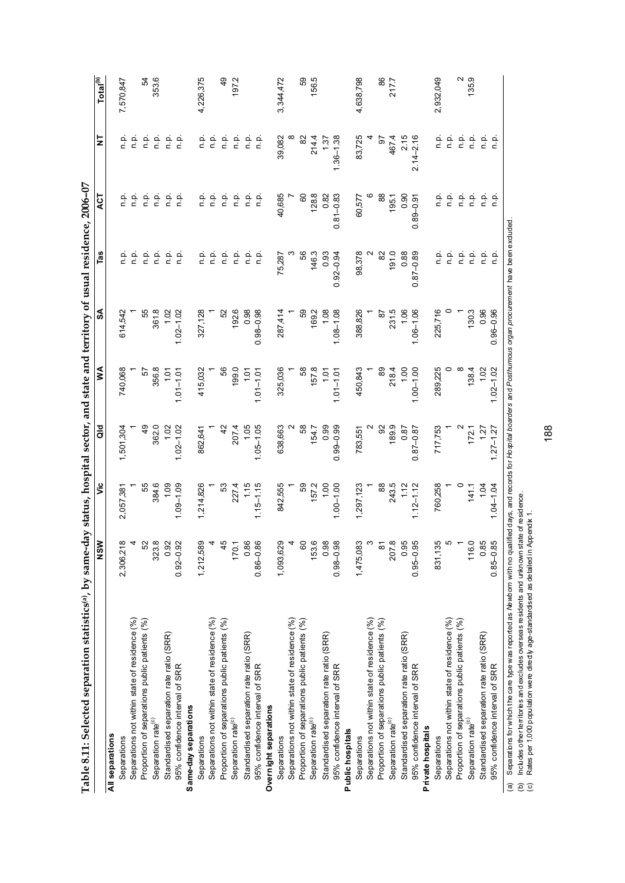| Table 8.11: Selected separation statistics(a), by same-day status, hospital sector, and state and territory of usual residence, 2006-07 |                    |               |               |               |               |               |               |               |                         |
|-----------------------------------------------------------------------------------------------------------------------------------------|--------------------|---------------|---------------|---------------|---------------|---------------|---------------|---------------|-------------------------|
|                                                                                                                                         | MS<br>N            | ئ             | ਰ<br>ਹ        | ⋚             | ઙే            | Tas           | 75A           | 5             | $\frac{Total^{(b)}}{2}$ |
| All separations                                                                                                                         |                    |               |               |               |               |               |               |               |                         |
| Separations                                                                                                                             | 2,306,218          | 2,057,381     | ,501,304      | 740,068       | 614,542       | ءِ<br>ء       | ءِ<br>ء       | ف<br>أ        | 7,570,847               |
| Separations not within state of residence (%)                                                                                           |                    |               |               |               |               | n.p.          | n.p.          | n.p.          |                         |
| Proportion of separations public patients (%)                                                                                           | ŗ9                 | 55            | 49            | $\tilde{c}$   | 55            | n.p.          | n.p.          | n.p.          | 54                      |
| Separation rate <sup>(c)</sup>                                                                                                          | 323.8              | 384.6         | 362.0         | 356.8         | 361.8         | n.p.          | n.p.          | n.p.          | 353.6                   |
| Standardised separation rate ratio (SRR)                                                                                                | 0.92               | 1.09          | 1.02          | $\frac{5}{1}$ | 1.02          | ن<br>ء        | n.p.          | n.p.          |                         |
| 95% confidence interval of SRR                                                                                                          | $0.92 - 0.92$      | $1.09 - 1.09$ | $1.02 - 1.02$ | $1.01 - 1.01$ | $1.02 - 1.02$ | n.p.          | n.p.          | n p.          |                         |
| Same-day separations                                                                                                                    |                    |               |               |               |               |               |               |               |                         |
| Separations                                                                                                                             | 1,212,589          | 1,214,826     | 862,641       | 415,032       | 327,128       | ن<br>ص        | ن<br>غ        | ف<br>ء        | 4,226,375               |
| Separations not within state of residence (%)                                                                                           |                    |               |               |               |               | n.p.          | n.p.          | n.p.          |                         |
| Proportion of separations public patients (%)                                                                                           | 4,                 | S             | $\frac{2}{3}$ | 56            | 52            | ن<br>ح        | n.p.          | n.p.          | $\overline{6}$          |
| Separation rate <sup>(c)</sup>                                                                                                          | 170.1              | 2274          | 207.4         | 199.0         | 192.6         | o.<br>C       | n.p.          | n.p.          | 197.2                   |
| Standardised separation rate ratio (SRR)                                                                                                | 0.86               | 1.15          | 1.05          | $\frac{5}{1}$ | 0.98          | ءِ<br>ء       | n.p.          | n p.          |                         |
| 95% confidence interval of SRR                                                                                                          | $0.86 - 0.86$      | $1.15 - 1.15$ | $1.05 - 1.05$ | $1.01 - 1.01$ | $0.98 - 0.98$ | ن<br>ع        | n.p.          | ن<br>ء        |                         |
| Overnight separations                                                                                                                   |                    |               |               |               |               |               |               |               |                         |
| Separations                                                                                                                             | 1,093,629          | 842,555       | 638,663       | 325,036       | 287,414       | 75,287        | 40,685        | 39,082        | 3, 344, 472             |
| Separations not within state of residence (%)                                                                                           |                    |               |               |               |               |               |               |               |                         |
| Proportion of separations public patients (%)                                                                                           | <u>ଟ</u>           | 59            | 58            | 58            | 59            | 89            | CO            | 8             | 59                      |
| Separation rate <sup>(c)</sup>                                                                                                          | 153.6              | 157.2         | 154.7         | 157.8         | 169.2         | 146.3         | 128.8         | 214.4         | 156.5                   |
| Standardised separation rate ratio (SRR)                                                                                                | 0.98               | 1.00          | 0.99          | $-1.07$       | 1.08          | 0.93          | 0.82          | 137           |                         |
| 95% confidence interval of SRR                                                                                                          | $0.98 - 0.98$      | $1.00 - 1.00$ | $0.99 - 0.99$ | $1.01 - 1.01$ | $1.08 - 1.08$ | $0.92 - 0.94$ | $0.81 - 0.83$ | $1.36 - 1.38$ |                         |
| Public hospitals                                                                                                                        |                    |               |               |               |               |               |               |               |                         |
| Separations                                                                                                                             | 1,475,083          | 1,297,123     | 783,551       | 450,843       | 388,826       | 98,378        | 60,577        | 83,725        | 4,638,798               |
| Separations not within state of residence (%)                                                                                           |                    |               |               |               |               |               |               |               |                         |
| Proportion of separations public patients (%)                                                                                           | $\frac{1}{\infty}$ | 88            | 95            | 89            | 2             | 8             | 88            | 5             | 86                      |
| Separation rate <sup>(c)</sup>                                                                                                          | 207.8              | 243.5         | 189.9         | 2184          | 231.5         | 191.0         | 195.1         | 4674          | 217.7                   |
| Standardised separation rate ratio (SRR)                                                                                                | 0.95               | 1.12          | 0.87          | 1,00          | 1.06          | 0.88          | 0.90          | 2.15          |                         |
| 95% confidence interval of SRR                                                                                                          | $0.95 - 0.95$      | $1.12 - 1.12$ | $0.87 - 0.87$ | $1.00 - 1.00$ | $1.06 - 1.06$ | $0.87 - 0.89$ | $0.89 - 0.91$ | $2.14 - 2.16$ |                         |
| Private hospitals                                                                                                                       |                    |               |               |               |               |               |               |               |                         |
| Separations                                                                                                                             | 831,135            | 760,258       | 717,753       | 289,225       | 225,716       |               | ن<br>ء        | ءِ<br>ء       | 2,932,049               |
| Separations not within state of residence (%)                                                                                           |                    |               |               |               |               |               | n.p.          | ن<br>ء        |                         |
| Proportion of separations public patients (%)                                                                                           |                    |               |               |               |               | ن<br>ء        | ρ.<br>Γ       | ن<br>ء        | $\sim$                  |
| Separation rate <sup>(c)</sup>                                                                                                          | 116.0              | 141.1         | 172.1         | 1384          | 130.3         |               | ρ.<br>Γ       | n p.          | 135.9                   |
| Standardised separation rate ratio (SRR)                                                                                                | 0.85               | 1.04          | 127           | 1.02          | 0.96          | ن<br>ص        |               | n.p.          |                         |
| 95% confidence interval of SRR                                                                                                          | $0.85 - 0.85$      | $1.04 - 1.04$ | $1.27 - 1.27$ | $1.02 - 1.02$ | $0.96 - 0.96$ | ف<br>n        | ن في<br>فات   | n.p.          |                         |

(a) Separations for which the care type was reported as *Newborn w*ith no qualified days, and records for *Hospital boarders* and *Postfurnous organ procurement* have been excluded.<br>(b) Includes otherterritories and exclu

*Newborn* with no qualified days, and records for *Hospital boarders* and *Posthumous organ procurement* have been excluded.

(a) Separations for which the care type was reported as

(b) Includes other territories and excludes overseas residents and unknown state of residence. (c) Rates per 1,000 population were directly age-standardised as detailed in Appendix 1.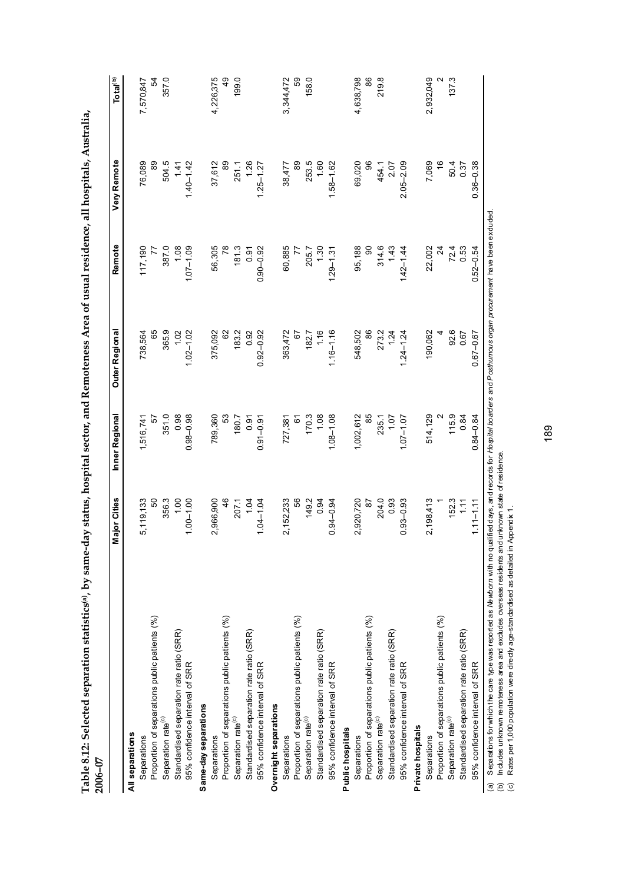| 2006-07                                       |               |                                              |                 |                |               |                      |
|-----------------------------------------------|---------------|----------------------------------------------|-----------------|----------------|---------------|----------------------|
|                                               | Major Cities  | Inner Regional                               | Outer Regional  | <b>Remote</b>  | Very Remote   | Total <sup>(b)</sup> |
| All separations                               |               |                                              |                 |                |               |                      |
| Separations                                   | 5,119,133     | 1,516,741                                    | 738,564         | 117,190        | 76,089        | 7,570,847            |
| Proportion of separations public patients (%) | SO            | 5                                            | 65              | 77             | 8             | 54                   |
| Separation rate <sup>(c)</sup>                | 356.3         | 351.0                                        | 365.9           | 387.0          | 504.5         | 357.0                |
| Standardised separation rate ratio (SRR)      | 1.00          | 0.98                                         | 1.02            | 1.08           | 1.41          |                      |
| 95% confidence interval of SRR                | $1.00 - 1.00$ | $0.98 - 0.98$                                | $1.02 - 1.02$   | $1.07 - 1.09$  | $1.40 - 1.42$ |                      |
| Same-day separations                          |               |                                              |                 |                |               |                      |
| Separations                                   | 2,966,900     | 789,360                                      | 375,092         | 56,305         | 37,612        | 4,226,375            |
| Proportion of separations public patients (%) | 46            | S3                                           | 62              | 78             | 89            | 49                   |
| Separation rate <sup>(c)</sup>                | 207.1         | 180.7                                        | 183.2           | 181.3          | 251.1         | 199.0                |
| Standardised separation rate ratio (SRR)      | 1.04          | 0.91                                         | 0.92            | 0.91           | 1.26          |                      |
| 95% confidence interval of SRR                | $1.04 - 1.04$ | $0.91 - 0.91$                                | $0.92 - 0.92$   | $0.90 - 0.92$  | $1.25 - 1.27$ |                      |
| Overnight separations                         |               |                                              |                 |                |               |                      |
| Separations                                   | 2, 152, 233   | 727,381                                      | 363,472         | 60,885         | 38,477        | 3,344,472            |
| Proportion of separations public patients (%) | 99            | <u>င်</u>                                    | $\tilde{\circ}$ | $\overline{z}$ | 8             | 89                   |
| Separation rate <sup>(c)</sup>                | 149.2         |                                              | 182.7           | 205.7          | 253.5         | 158.0                |
| Standardised separation rate ratio (SRR)      | 0.94          | $\begin{array}{c} 770.3 \\ 1.08 \end{array}$ | 1.16            | 1.30           | 1.60          |                      |
| 95% confidence interval of SRR                | $0.94 - 0.94$ | $1.08 - 1.08$                                | $1.16 - 1.16$   | $1.29 - 1.31$  | $1.58 - 1.62$ |                      |
| Public hospitals                              |               |                                              |                 |                |               |                      |
| Separations                                   | 2,920,720     | 1,002,612                                    | 548,502         | 95,188         | 69,020        | 4,638,798            |
| Proportion of separations public patients (%) | $\frac{8}{2}$ | 85                                           | 86              | $\overline{6}$ | 96            | 86                   |
| Separation rate <sup>(c)</sup>                | 204.0         |                                              | 273.2<br>1.24   | 314.6          | 454.1         | 219.8                |
| Standardised separation rate ratio (SRR)      | 0.93          | 235.1<br>1.07                                |                 | 1.43           | 2.07          |                      |
| 95% confidence interval of SRR                | $0.93 - 0.93$ | $1.07 - 1.07$                                | $1.24 - 1.24$   | $1.42 - 1.44$  | $2.05 - 2.09$ |                      |
| Private hospitals                             |               |                                              |                 |                |               |                      |
| Separations                                   | 2,198,413     | 514,129                                      | 190,062         | 22,002         | 7,069         | 2,932,049            |
| Proportion of separations public patients (%) |               |                                              |                 | $\frac{4}{3}$  | $\frac{6}{5}$ | $\mathbf{\Omega}$    |
| Separation rate <sup>(c)</sup>                | 152.3         | 115.9                                        |                 | 72.4           | 50.4          | 137.3                |
| Standardised separation rate ratio (SRR)      | 111           | 0.84                                         | 92.6<br>0.67    | 0.53           | 0.37          |                      |
| 95% confidence interval of SRR                | $1.11 - 1.11$ | $0.84 - 0.84$                                | $0.67 - 0.67$   | $0.52 - 0.54$  | $0.36 - 0.38$ |                      |
|                                               |               |                                              |                 |                |               |                      |

Table 8.12: Selected separation statistics(a), by same-day status, hospital sector, and Remoteness Area of usual residence, all hospitals, Australia, **Table 8.12: Selected separation statistics(a), by same-day status, hospital sector, and Remoteness Area of usual residence, all hospitals, Australia,** 

(a) Separations for which the care type was reported as Me worn with no qualified days, and records for *Hospital boarders* and Posthu*mous organ procuremen*t have been exduded.<br>(b) Includes unknown remoteness area and exc (a) Separations for which the care type was reported as *Newborn* with no qualified days, and records for *Hospital boarders* and *Posthumous organ procurement* have been excluded.

(b) Includes unknown remoteness area and excludes overseas residents and unknown state of residence.

(c) Rates per 1,000 population were directly age-standardised as detailed in Appendix 1.